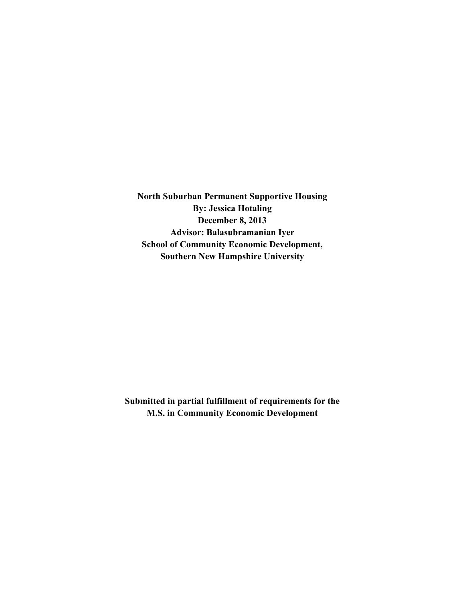**North Suburban Permanent Supportive Housing By: Jessica Hotaling December 8, 2013 Advisor: Balasubramanian Iyer School of Community Economic Development, Southern New Hampshire University** 

**Submitted in partial fulfillment of requirements for the M.S. in Community Economic Development**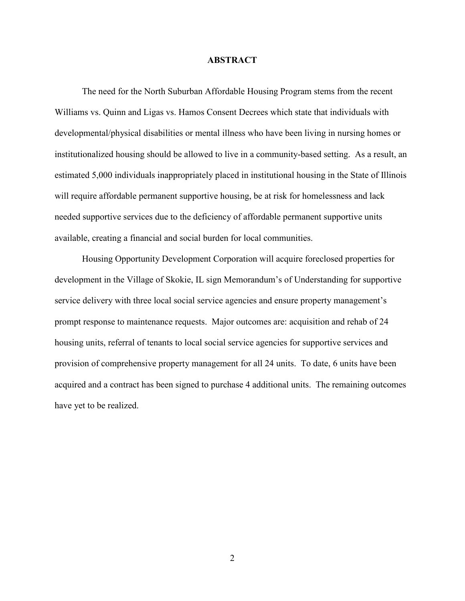#### **ABSTRACT**

 The need for the North Suburban Affordable Housing Program stems from the recent Williams vs. Quinn and Ligas vs. Hamos Consent Decrees which state that individuals with developmental/physical disabilities or mental illness who have been living in nursing homes or institutionalized housing should be allowed to live in a community-based setting. As a result, an estimated 5,000 individuals inappropriately placed in institutional housing in the State of Illinois will require affordable permanent supportive housing, be at risk for homelessness and lack needed supportive services due to the deficiency of affordable permanent supportive units available, creating a financial and social burden for local communities.

 Housing Opportunity Development Corporation will acquire foreclosed properties for development in the Village of Skokie, IL sign Memorandum's of Understanding for supportive service delivery with three local social service agencies and ensure property management's prompt response to maintenance requests. Major outcomes are: acquisition and rehab of 24 housing units, referral of tenants to local social service agencies for supportive services and provision of comprehensive property management for all 24 units. To date, 6 units have been acquired and a contract has been signed to purchase 4 additional units. The remaining outcomes have yet to be realized.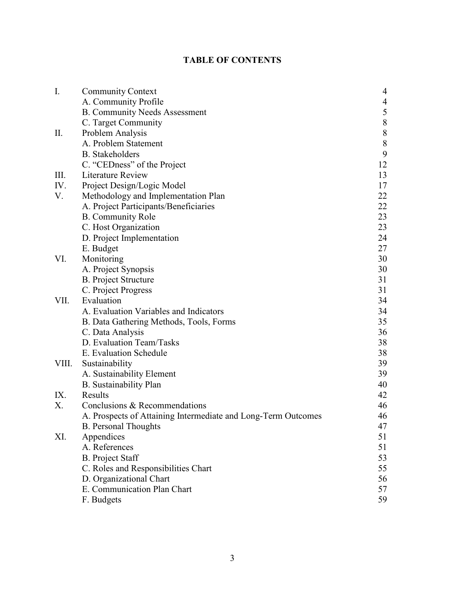# **TABLE OF CONTENTS**

| $\overline{I}$ . | <b>Community Context</b>                                      | 4         |
|------------------|---------------------------------------------------------------|-----------|
|                  | A. Community Profile                                          | 4         |
|                  | <b>B. Community Needs Assessment</b>                          | 5         |
|                  | C. Target Community                                           | $\,8\,$   |
| П.               | Problem Analysis                                              | $\,$ $\,$ |
|                  | A. Problem Statement                                          | $\,$ $\,$ |
|                  | <b>B.</b> Stakeholders                                        | 9         |
|                  | C. "CEDness" of the Project                                   | 12        |
| Ш.               | Literature Review                                             | 13        |
| IV.              | Project Design/Logic Model                                    | 17        |
| V.               | Methodology and Implementation Plan                           | 22        |
|                  | A. Project Participants/Beneficiaries                         | 22        |
|                  | <b>B.</b> Community Role                                      | 23        |
|                  | C. Host Organization                                          | 23        |
|                  | D. Project Implementation                                     | 24        |
|                  | E. Budget                                                     | 27        |
| VI.              | Monitoring                                                    | 30        |
|                  | A. Project Synopsis                                           | 30        |
|                  | <b>B.</b> Project Structure                                   | 31        |
|                  | C. Project Progress                                           | 31        |
| VII.             | Evaluation                                                    | 34        |
|                  | A. Evaluation Variables and Indicators                        | 34        |
|                  | B. Data Gathering Methods, Tools, Forms                       | 35        |
|                  | C. Data Analysis                                              | 36        |
|                  | D. Evaluation Team/Tasks                                      | 38        |
|                  | E. Evaluation Schedule                                        | 38        |
| VIII.            | Sustainability                                                | 39        |
|                  | A. Sustainability Element                                     | 39        |
|                  | <b>B.</b> Sustainability Plan                                 | 40        |
| IX.              | Results                                                       | 42        |
| X.               | Conclusions & Recommendations                                 | 46        |
|                  | A. Prospects of Attaining Intermediate and Long-Term Outcomes | 46        |
|                  | <b>B.</b> Personal Thoughts                                   | 47        |
| XI.              | Appendices                                                    | 51        |
|                  | A. References                                                 | 51        |
|                  | <b>B.</b> Project Staff                                       | 53        |
|                  | C. Roles and Responsibilities Chart                           | 55        |
|                  | D. Organizational Chart                                       | 56        |
|                  | E. Communication Plan Chart                                   | 57        |
|                  | F. Budgets                                                    | 59        |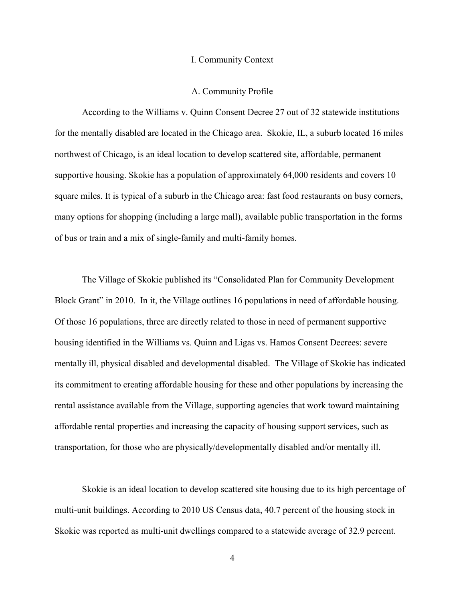#### I. Community Context

#### A. Community Profile

 According to the Williams v. Quinn Consent Decree 27 out of 32 statewide institutions for the mentally disabled are located in the Chicago area. Skokie, IL, a suburb located 16 miles northwest of Chicago, is an ideal location to develop scattered site, affordable, permanent supportive housing. Skokie has a population of approximately 64,000 residents and covers 10 square miles. It is typical of a suburb in the Chicago area: fast food restaurants on busy corners, many options for shopping (including a large mall), available public transportation in the forms of bus or train and a mix of single-family and multi-family homes.

 The Village of Skokie published its "Consolidated Plan for Community Development Block Grant" in 2010. In it, the Village outlines 16 populations in need of affordable housing. Of those 16 populations, three are directly related to those in need of permanent supportive housing identified in the Williams vs. Quinn and Ligas vs. Hamos Consent Decrees: severe mentally ill, physical disabled and developmental disabled. The Village of Skokie has indicated its commitment to creating affordable housing for these and other populations by increasing the rental assistance available from the Village, supporting agencies that work toward maintaining affordable rental properties and increasing the capacity of housing support services, such as transportation, for those who are physically/developmentally disabled and/or mentally ill.

 Skokie is an ideal location to develop scattered site housing due to its high percentage of multi-unit buildings. According to 2010 US Census data, 40.7 percent of the housing stock in Skokie was reported as multi-unit dwellings compared to a statewide average of 32.9 percent.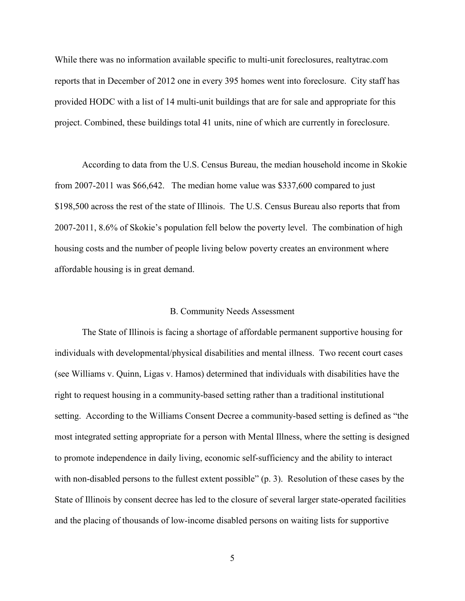While there was no information available specific to multi-unit foreclosures, realtytrac.com reports that in December of 2012 one in every 395 homes went into foreclosure. City staff has provided HODC with a list of 14 multi-unit buildings that are for sale and appropriate for this project. Combined, these buildings total 41 units, nine of which are currently in foreclosure.

 According to data from the U.S. Census Bureau, the median household income in Skokie from 2007-2011 was \$66,642. The median home value was \$337,600 compared to just \$198,500 across the rest of the state of Illinois. The U.S. Census Bureau also reports that from 2007-2011, 8.6% of Skokie's population fell below the poverty level. The combination of high housing costs and the number of people living below poverty creates an environment where affordable housing is in great demand.

## B. Community Needs Assessment

 The State of Illinois is facing a shortage of affordable permanent supportive housing for individuals with developmental/physical disabilities and mental illness. Two recent court cases (see Williams v. Quinn, Ligas v. Hamos) determined that individuals with disabilities have the right to request housing in a community-based setting rather than a traditional institutional setting. According to the Williams Consent Decree a community-based setting is defined as "the most integrated setting appropriate for a person with Mental Illness, where the setting is designed to promote independence in daily living, economic self-sufficiency and the ability to interact with non-disabled persons to the fullest extent possible" (p. 3). Resolution of these cases by the State of Illinois by consent decree has led to the closure of several larger state-operated facilities and the placing of thousands of low-income disabled persons on waiting lists for supportive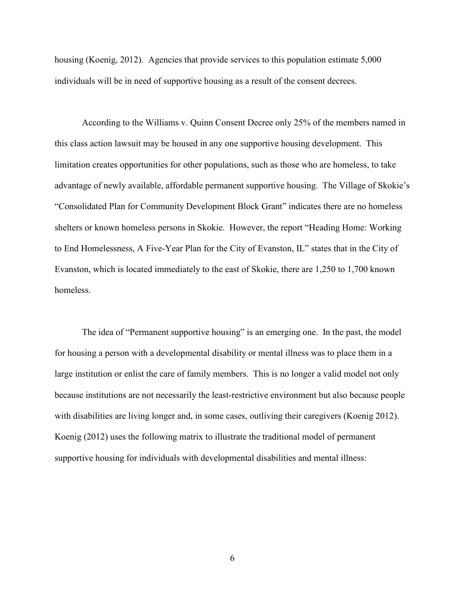housing (Koenig, 2012). Agencies that provide services to this population estimate 5,000 individuals will be in need of supportive housing as a result of the consent decrees.

 According to the Williams v. Quinn Consent Decree only 25% of the members named in this class action lawsuit may be housed in any one supportive housing development. This limitation creates opportunities for other populations, such as those who are homeless, to take advantage of newly available, affordable permanent supportive housing. The Village of Skokie's "Consolidated Plan for Community Development Block Grant" indicates there are no homeless shelters or known homeless persons in Skokie. However, the report "Heading Home: Working to End Homelessness, A Five-Year Plan for the City of Evanston, IL" states that in the City of Evanston, which is located immediately to the east of Skokie, there are 1,250 to 1,700 known homeless.

The idea of "Permanent supportive housing" is an emerging one. In the past, the model for housing a person with a developmental disability or mental illness was to place them in a large institution or enlist the care of family members. This is no longer a valid model not only because institutions are not necessarily the least-restrictive environment but also because people with disabilities are living longer and, in some cases, outliving their caregivers (Koenig 2012). Koenig (2012) uses the following matrix to illustrate the traditional model of permanent supportive housing for individuals with developmental disabilities and mental illness: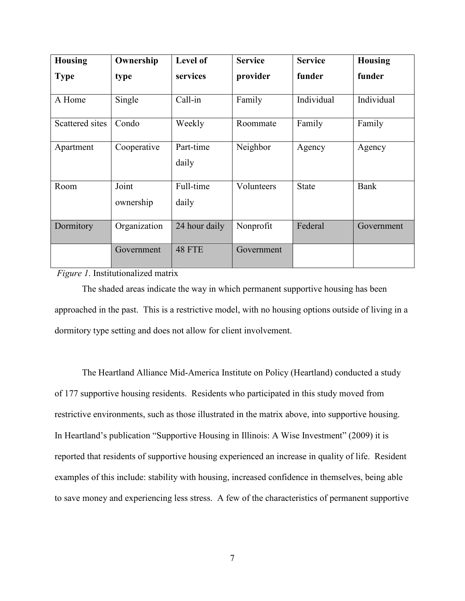| <b>Housing</b>  | Ownership          | Level of           | <b>Service</b> | <b>Service</b> | <b>Housing</b> |
|-----------------|--------------------|--------------------|----------------|----------------|----------------|
| <b>Type</b>     | type               | services           | provider       | funder         | funder         |
| A Home          | Single             | Call-in            | Family         | Individual     | Individual     |
| Scattered sites | Condo              | Weekly             | Roommate       | Family         | Family         |
| Apartment       | Cooperative        | Part-time<br>daily | Neighbor       | Agency         | Agency         |
| Room            | Joint<br>ownership | Full-time<br>daily | Volunteers     | <b>State</b>   | <b>Bank</b>    |
| Dormitory       | Organization       | 24 hour daily      | Nonprofit      | Federal        | Government     |
|                 | Government         | 48 FTE             | Government     |                |                |

*Figure 1*. Institutionalized matrix

 The shaded areas indicate the way in which permanent supportive housing has been approached in the past. This is a restrictive model, with no housing options outside of living in a dormitory type setting and does not allow for client involvement.

 The Heartland Alliance Mid-America Institute on Policy (Heartland) conducted a study of 177 supportive housing residents. Residents who participated in this study moved from restrictive environments, such as those illustrated in the matrix above, into supportive housing. In Heartland's publication "Supportive Housing in Illinois: A Wise Investment" (2009) it is reported that residents of supportive housing experienced an increase in quality of life. Resident examples of this include: stability with housing, increased confidence in themselves, being able to save money and experiencing less stress. A few of the characteristics of permanent supportive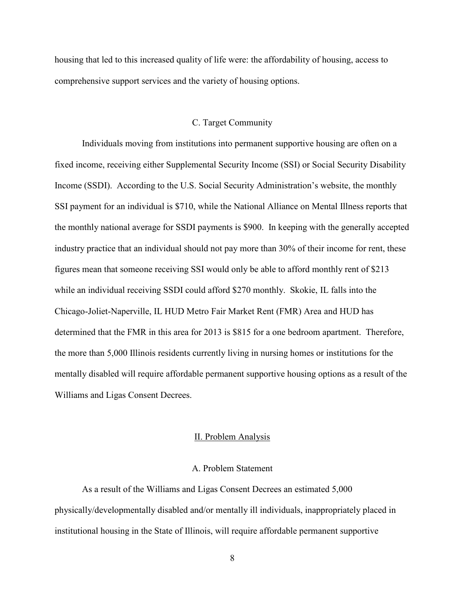housing that led to this increased quality of life were: the affordability of housing, access to comprehensive support services and the variety of housing options.

## C. Target Community

 Individuals moving from institutions into permanent supportive housing are often on a fixed income, receiving either Supplemental Security Income (SSI) or Social Security Disability Income (SSDI). According to the U.S. Social Security Administration's website, the monthly SSI payment for an individual is \$710, while the National Alliance on Mental Illness reports that the monthly national average for SSDI payments is \$900. In keeping with the generally accepted industry practice that an individual should not pay more than 30% of their income for rent, these figures mean that someone receiving SSI would only be able to afford monthly rent of \$213 while an individual receiving SSDI could afford \$270 monthly. Skokie, IL falls into the Chicago-Joliet-Naperville, IL HUD Metro Fair Market Rent (FMR) Area and HUD has determined that the FMR in this area for 2013 is \$815 for a one bedroom apartment. Therefore, the more than 5,000 Illinois residents currently living in nursing homes or institutions for the mentally disabled will require affordable permanent supportive housing options as a result of the Williams and Ligas Consent Decrees.

## II. Problem Analysis

## A. Problem Statement

 As a result of the Williams and Ligas Consent Decrees an estimated 5,000 physically/developmentally disabled and/or mentally ill individuals, inappropriately placed in institutional housing in the State of Illinois, will require affordable permanent supportive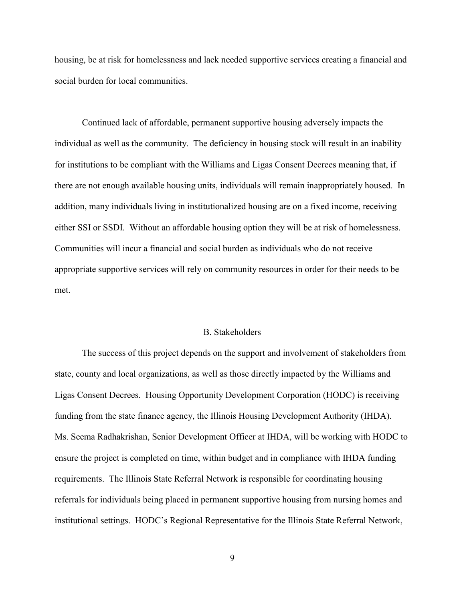housing, be at risk for homelessness and lack needed supportive services creating a financial and social burden for local communities.

 Continued lack of affordable, permanent supportive housing adversely impacts the individual as well as the community. The deficiency in housing stock will result in an inability for institutions to be compliant with the Williams and Ligas Consent Decrees meaning that, if there are not enough available housing units, individuals will remain inappropriately housed. In addition, many individuals living in institutionalized housing are on a fixed income, receiving either SSI or SSDI. Without an affordable housing option they will be at risk of homelessness. Communities will incur a financial and social burden as individuals who do not receive appropriate supportive services will rely on community resources in order for their needs to be met.

#### B. Stakeholders

 The success of this project depends on the support and involvement of stakeholders from state, county and local organizations, as well as those directly impacted by the Williams and Ligas Consent Decrees. Housing Opportunity Development Corporation (HODC) is receiving funding from the state finance agency, the Illinois Housing Development Authority (IHDA). Ms. Seema Radhakrishan, Senior Development Officer at IHDA, will be working with HODC to ensure the project is completed on time, within budget and in compliance with IHDA funding requirements. The Illinois State Referral Network is responsible for coordinating housing referrals for individuals being placed in permanent supportive housing from nursing homes and institutional settings. HODC's Regional Representative for the Illinois State Referral Network,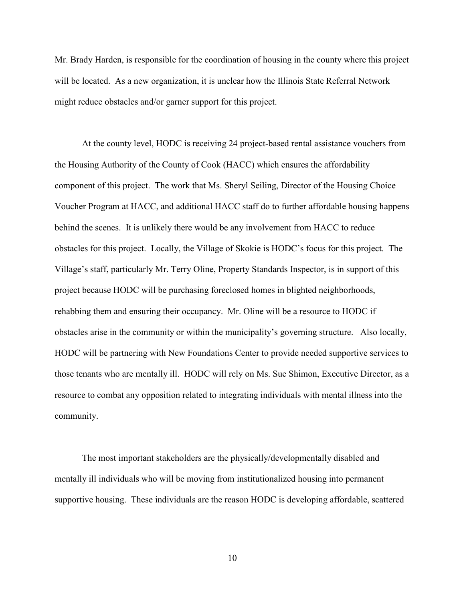Mr. Brady Harden, is responsible for the coordination of housing in the county where this project will be located. As a new organization, it is unclear how the Illinois State Referral Network might reduce obstacles and/or garner support for this project.

 At the county level, HODC is receiving 24 project-based rental assistance vouchers from the Housing Authority of the County of Cook (HACC) which ensures the affordability component of this project. The work that Ms. Sheryl Seiling, Director of the Housing Choice Voucher Program at HACC, and additional HACC staff do to further affordable housing happens behind the scenes. It is unlikely there would be any involvement from HACC to reduce obstacles for this project. Locally, the Village of Skokie is HODC's focus for this project. The Village's staff, particularly Mr. Terry Oline, Property Standards Inspector, is in support of this project because HODC will be purchasing foreclosed homes in blighted neighborhoods, rehabbing them and ensuring their occupancy. Mr. Oline will be a resource to HODC if obstacles arise in the community or within the municipality's governing structure. Also locally, HODC will be partnering with New Foundations Center to provide needed supportive services to those tenants who are mentally ill. HODC will rely on Ms. Sue Shimon, Executive Director, as a resource to combat any opposition related to integrating individuals with mental illness into the community.

 The most important stakeholders are the physically/developmentally disabled and mentally ill individuals who will be moving from institutionalized housing into permanent supportive housing. These individuals are the reason HODC is developing affordable, scattered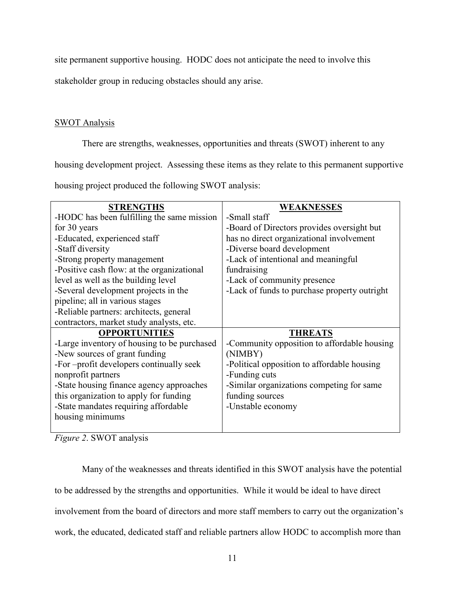site permanent supportive housing. HODC does not anticipate the need to involve this

stakeholder group in reducing obstacles should any arise.

# SWOT Analysis

There are strengths, weaknesses, opportunities and threats (SWOT) inherent to any

housing development project. Assessing these items as they relate to this permanent supportive

housing project produced the following SWOT analysis:

| <b>STRENGTHS</b>                            | <b>WEAKNESSES</b>                            |
|---------------------------------------------|----------------------------------------------|
| -HODC has been fulfilling the same mission  | -Small staff                                 |
| for 30 years                                | -Board of Directors provides oversight but   |
| -Educated, experienced staff                | has no direct organizational involvement     |
| -Staff diversity                            | -Diverse board development                   |
| -Strong property management                 | -Lack of intentional and meaningful          |
| -Positive cash flow: at the organizational  | fundraising                                  |
| level as well as the building level         | -Lack of community presence                  |
| -Several development projects in the        | -Lack of funds to purchase property outright |
| pipeline; all in various stages             |                                              |
| -Reliable partners: architects, general     |                                              |
| contractors, market study analysts, etc.    |                                              |
| <b>OPPORTUNITIES</b>                        | <b>THREATS</b>                               |
| -Large inventory of housing to be purchased | -Community opposition to affordable housing  |
| -New sources of grant funding               | (NIMBY)                                      |
| -For-profit developers continually seek     | -Political opposition to affordable housing  |
| nonprofit partners                          | -Funding cuts                                |
| -State housing finance agency approaches    | -Similar organizations competing for same    |
| this organization to apply for funding      | funding sources                              |
| -State mandates requiring affordable        | -Unstable economy                            |
| housing minimums                            |                                              |
|                                             |                                              |

*Figure 2*. SWOT analysis

 Many of the weaknesses and threats identified in this SWOT analysis have the potential to be addressed by the strengths and opportunities. While it would be ideal to have direct involvement from the board of directors and more staff members to carry out the organization's work, the educated, dedicated staff and reliable partners allow HODC to accomplish more than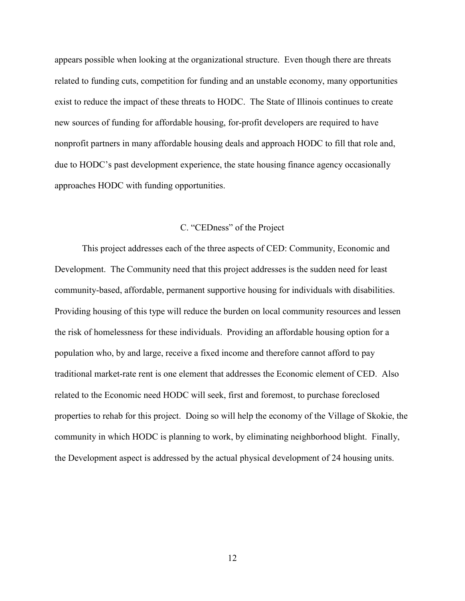appears possible when looking at the organizational structure. Even though there are threats related to funding cuts, competition for funding and an unstable economy, many opportunities exist to reduce the impact of these threats to HODC. The State of Illinois continues to create new sources of funding for affordable housing, for-profit developers are required to have nonprofit partners in many affordable housing deals and approach HODC to fill that role and, due to HODC's past development experience, the state housing finance agency occasionally approaches HODC with funding opportunities.

## C. "CEDness" of the Project

 This project addresses each of the three aspects of CED: Community, Economic and Development. The Community need that this project addresses is the sudden need for least community-based, affordable, permanent supportive housing for individuals with disabilities. Providing housing of this type will reduce the burden on local community resources and lessen the risk of homelessness for these individuals. Providing an affordable housing option for a population who, by and large, receive a fixed income and therefore cannot afford to pay traditional market-rate rent is one element that addresses the Economic element of CED. Also related to the Economic need HODC will seek, first and foremost, to purchase foreclosed properties to rehab for this project. Doing so will help the economy of the Village of Skokie, the community in which HODC is planning to work, by eliminating neighborhood blight. Finally, the Development aspect is addressed by the actual physical development of 24 housing units.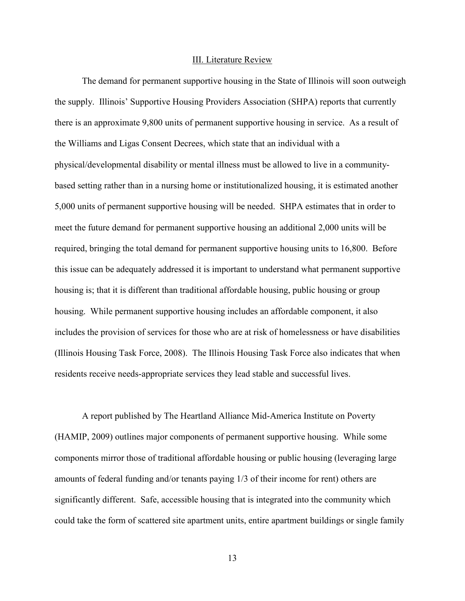#### III. Literature Review

 The demand for permanent supportive housing in the State of Illinois will soon outweigh the supply. Illinois' Supportive Housing Providers Association (SHPA) reports that currently there is an approximate 9,800 units of permanent supportive housing in service. As a result of the Williams and Ligas Consent Decrees, which state that an individual with a physical/developmental disability or mental illness must be allowed to live in a communitybased setting rather than in a nursing home or institutionalized housing, it is estimated another 5,000 units of permanent supportive housing will be needed. SHPA estimates that in order to meet the future demand for permanent supportive housing an additional 2,000 units will be required, bringing the total demand for permanent supportive housing units to 16,800. Before this issue can be adequately addressed it is important to understand what permanent supportive housing is; that it is different than traditional affordable housing, public housing or group housing. While permanent supportive housing includes an affordable component, it also includes the provision of services for those who are at risk of homelessness or have disabilities (Illinois Housing Task Force, 2008). The Illinois Housing Task Force also indicates that when residents receive needs-appropriate services they lead stable and successful lives.

 A report published by The Heartland Alliance Mid-America Institute on Poverty (HAMIP, 2009) outlines major components of permanent supportive housing. While some components mirror those of traditional affordable housing or public housing (leveraging large amounts of federal funding and/or tenants paying 1/3 of their income for rent) others are significantly different. Safe, accessible housing that is integrated into the community which could take the form of scattered site apartment units, entire apartment buildings or single family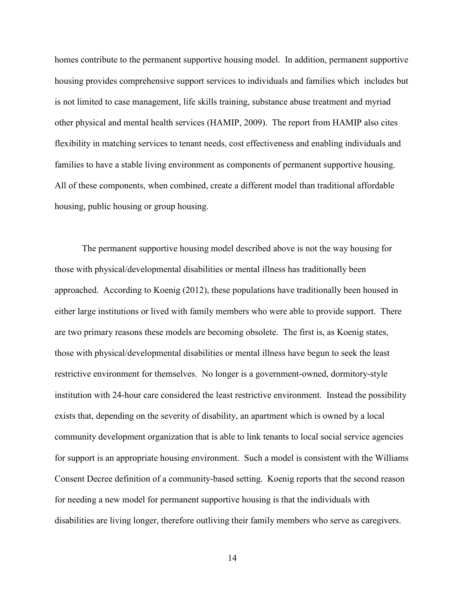homes contribute to the permanent supportive housing model. In addition, permanent supportive housing provides comprehensive support services to individuals and families which includes but is not limited to case management, life skills training, substance abuse treatment and myriad other physical and mental health services (HAMIP, 2009). The report from HAMIP also cites flexibility in matching services to tenant needs, cost effectiveness and enabling individuals and families to have a stable living environment as components of permanent supportive housing. All of these components, when combined, create a different model than traditional affordable housing, public housing or group housing.

 The permanent supportive housing model described above is not the way housing for those with physical/developmental disabilities or mental illness has traditionally been approached. According to Koenig (2012), these populations have traditionally been housed in either large institutions or lived with family members who were able to provide support. There are two primary reasons these models are becoming obsolete. The first is, as Koenig states, those with physical/developmental disabilities or mental illness have begun to seek the least restrictive environment for themselves. No longer is a government-owned, dormitory-style institution with 24-hour care considered the least restrictive environment. Instead the possibility exists that, depending on the severity of disability, an apartment which is owned by a local community development organization that is able to link tenants to local social service agencies for support is an appropriate housing environment. Such a model is consistent with the Williams Consent Decree definition of a community-based setting. Koenig reports that the second reason for needing a new model for permanent supportive housing is that the individuals with disabilities are living longer, therefore outliving their family members who serve as caregivers.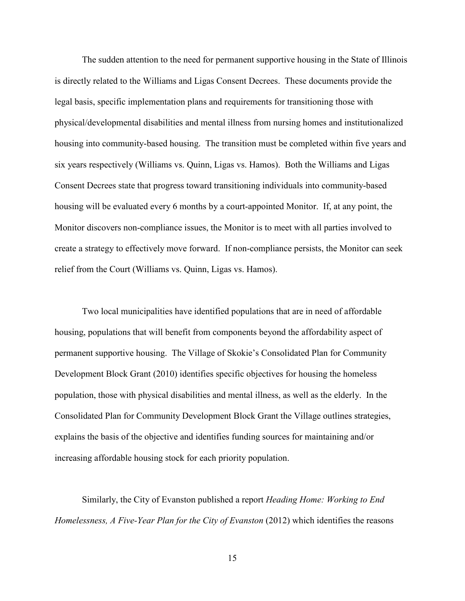The sudden attention to the need for permanent supportive housing in the State of Illinois is directly related to the Williams and Ligas Consent Decrees. These documents provide the legal basis, specific implementation plans and requirements for transitioning those with physical/developmental disabilities and mental illness from nursing homes and institutionalized housing into community-based housing. The transition must be completed within five years and six years respectively (Williams vs. Quinn, Ligas vs. Hamos). Both the Williams and Ligas Consent Decrees state that progress toward transitioning individuals into community-based housing will be evaluated every 6 months by a court-appointed Monitor. If, at any point, the Monitor discovers non-compliance issues, the Monitor is to meet with all parties involved to create a strategy to effectively move forward. If non-compliance persists, the Monitor can seek relief from the Court (Williams vs. Quinn, Ligas vs. Hamos).

 Two local municipalities have identified populations that are in need of affordable housing, populations that will benefit from components beyond the affordability aspect of permanent supportive housing. The Village of Skokie's Consolidated Plan for Community Development Block Grant (2010) identifies specific objectives for housing the homeless population, those with physical disabilities and mental illness, as well as the elderly. In the Consolidated Plan for Community Development Block Grant the Village outlines strategies, explains the basis of the objective and identifies funding sources for maintaining and/or increasing affordable housing stock for each priority population.

 Similarly, the City of Evanston published a report *Heading Home: Working to End Homelessness, A Five-Year Plan for the City of Evanston* (2012) which identifies the reasons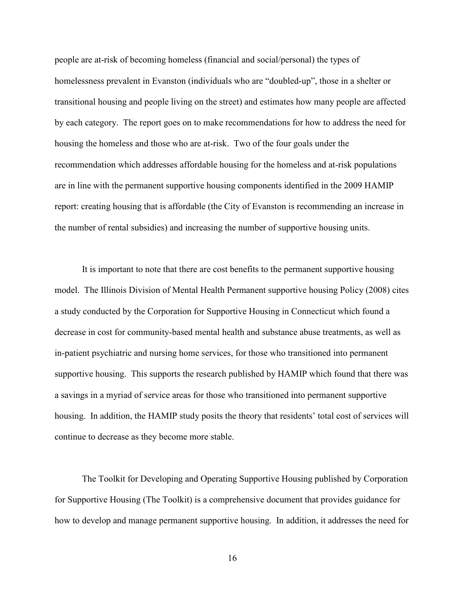people are at-risk of becoming homeless (financial and social/personal) the types of homelessness prevalent in Evanston (individuals who are "doubled-up", those in a shelter or transitional housing and people living on the street) and estimates how many people are affected by each category. The report goes on to make recommendations for how to address the need for housing the homeless and those who are at-risk. Two of the four goals under the recommendation which addresses affordable housing for the homeless and at-risk populations are in line with the permanent supportive housing components identified in the 2009 HAMIP report: creating housing that is affordable (the City of Evanston is recommending an increase in the number of rental subsidies) and increasing the number of supportive housing units.

 It is important to note that there are cost benefits to the permanent supportive housing model. The Illinois Division of Mental Health Permanent supportive housing Policy (2008) cites a study conducted by the Corporation for Supportive Housing in Connecticut which found a decrease in cost for community-based mental health and substance abuse treatments, as well as in-patient psychiatric and nursing home services, for those who transitioned into permanent supportive housing. This supports the research published by HAMIP which found that there was a savings in a myriad of service areas for those who transitioned into permanent supportive housing. In addition, the HAMIP study posits the theory that residents' total cost of services will continue to decrease as they become more stable.

 The Toolkit for Developing and Operating Supportive Housing published by Corporation for Supportive Housing (The Toolkit) is a comprehensive document that provides guidance for how to develop and manage permanent supportive housing. In addition, it addresses the need for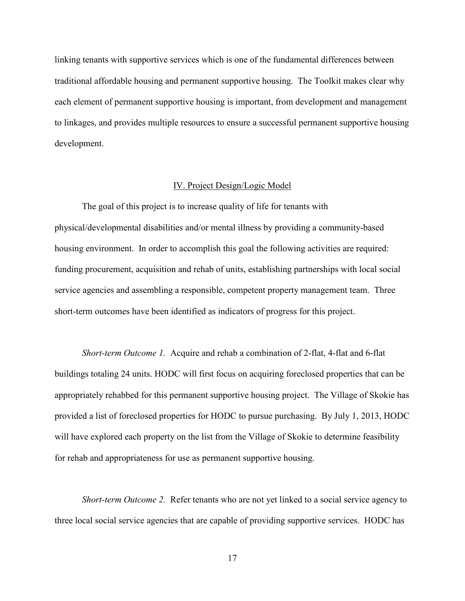linking tenants with supportive services which is one of the fundamental differences between traditional affordable housing and permanent supportive housing. The Toolkit makes clear why each element of permanent supportive housing is important, from development and management to linkages, and provides multiple resources to ensure a successful permanent supportive housing development.

## IV. Project Design/Logic Model

 The goal of this project is to increase quality of life for tenants with physical/developmental disabilities and/or mental illness by providing a community-based housing environment. In order to accomplish this goal the following activities are required: funding procurement, acquisition and rehab of units, establishing partnerships with local social service agencies and assembling a responsible, competent property management team. Three short-term outcomes have been identified as indicators of progress for this project.

*Short-term Outcome 1.* Acquire and rehab a combination of 2-flat, 4-flat and 6-flat buildings totaling 24 units. HODC will first focus on acquiring foreclosed properties that can be appropriately rehabbed for this permanent supportive housing project. The Village of Skokie has provided a list of foreclosed properties for HODC to pursue purchasing. By July 1, 2013, HODC will have explored each property on the list from the Village of Skokie to determine feasibility for rehab and appropriateness for use as permanent supportive housing.

*Short-term Outcome 2.* Refer tenants who are not yet linked to a social service agency to three local social service agencies that are capable of providing supportive services. HODC has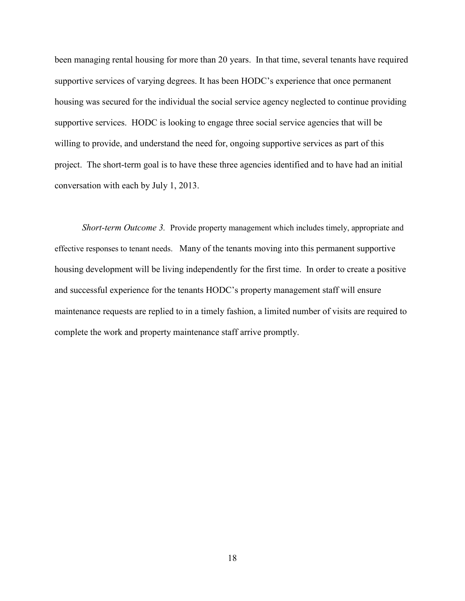been managing rental housing for more than 20 years. In that time, several tenants have required supportive services of varying degrees. It has been HODC's experience that once permanent housing was secured for the individual the social service agency neglected to continue providing supportive services. HODC is looking to engage three social service agencies that will be willing to provide, and understand the need for, ongoing supportive services as part of this project. The short-term goal is to have these three agencies identified and to have had an initial conversation with each by July 1, 2013.

*Short-term Outcome 3.* Provide property management which includes timely, appropriate and effective responses to tenant needs. Many of the tenants moving into this permanent supportive housing development will be living independently for the first time. In order to create a positive and successful experience for the tenants HODC's property management staff will ensure maintenance requests are replied to in a timely fashion, a limited number of visits are required to complete the work and property maintenance staff arrive promptly.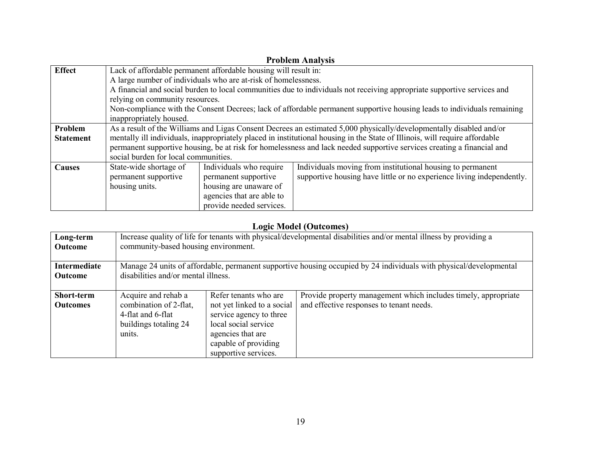| <b>Problem Analysis</b> |                                                                                                                        |                                                                 |                                                                                                                             |  |  |
|-------------------------|------------------------------------------------------------------------------------------------------------------------|-----------------------------------------------------------------|-----------------------------------------------------------------------------------------------------------------------------|--|--|
| <b>Effect</b>           |                                                                                                                        | Lack of affordable permanent affordable housing will result in: |                                                                                                                             |  |  |
|                         |                                                                                                                        | A large number of individuals who are at-risk of homelessness.  |                                                                                                                             |  |  |
|                         |                                                                                                                        |                                                                 | A financial and social burden to local communities due to individuals not receiving appropriate supportive services and     |  |  |
|                         | relying on community resources.                                                                                        |                                                                 |                                                                                                                             |  |  |
|                         |                                                                                                                        |                                                                 | Non-compliance with the Consent Decrees; lack of affordable permanent supportive housing leads to individuals remaining     |  |  |
|                         | inappropriately housed.                                                                                                |                                                                 |                                                                                                                             |  |  |
| Problem                 |                                                                                                                        |                                                                 | As a result of the Williams and Ligas Consent Decrees an estimated 5,000 physically/developmentally disabled and/or         |  |  |
| <b>Statement</b>        |                                                                                                                        |                                                                 | mentally ill individuals, inappropriately placed in institutional housing in the State of Illinois, will require affordable |  |  |
|                         | permanent supportive housing, be at risk for homelessness and lack needed supportive services creating a financial and |                                                                 |                                                                                                                             |  |  |
|                         | social burden for local communities.                                                                                   |                                                                 |                                                                                                                             |  |  |
| <b>Causes</b>           | State-wide shortage of                                                                                                 | Individuals who require                                         | Individuals moving from institutional housing to permanent                                                                  |  |  |
|                         | permanent supportive                                                                                                   | permanent supportive                                            | supportive housing have little or no experience living independently.                                                       |  |  |
|                         | housing units.                                                                                                         | housing are unaware of                                          |                                                                                                                             |  |  |
|                         |                                                                                                                        | agencies that are able to                                       |                                                                                                                             |  |  |
|                         |                                                                                                                        | provide needed services.                                        |                                                                                                                             |  |  |

# **Logic Model (Outcomes)**

| Long-term                            | Increase quality of life for tenants with physical/developmental disabilities and/or mental illness by providing a |                                                                                                                                                                             |                                                                                                            |  |
|--------------------------------------|--------------------------------------------------------------------------------------------------------------------|-----------------------------------------------------------------------------------------------------------------------------------------------------------------------------|------------------------------------------------------------------------------------------------------------|--|
| <b>Outcome</b>                       | community-based housing environment.                                                                               |                                                                                                                                                                             |                                                                                                            |  |
| Intermediate                         | Manage 24 units of affordable, permanent supportive housing occupied by 24 individuals with physical/developmental |                                                                                                                                                                             |                                                                                                            |  |
| <b>Outcome</b>                       | disabilities and/or mental illness.                                                                                |                                                                                                                                                                             |                                                                                                            |  |
| <b>Short-term</b><br><b>Outcomes</b> | Acquire and rehab a<br>combination of 2-flat,<br>4-flat and 6-flat<br>buildings totaling 24<br>units.              | Refer tenants who are<br>not yet linked to a social<br>service agency to three<br>local social service<br>agencies that are<br>capable of providing<br>supportive services. | Provide property management which includes timely, appropriate<br>and effective responses to tenant needs. |  |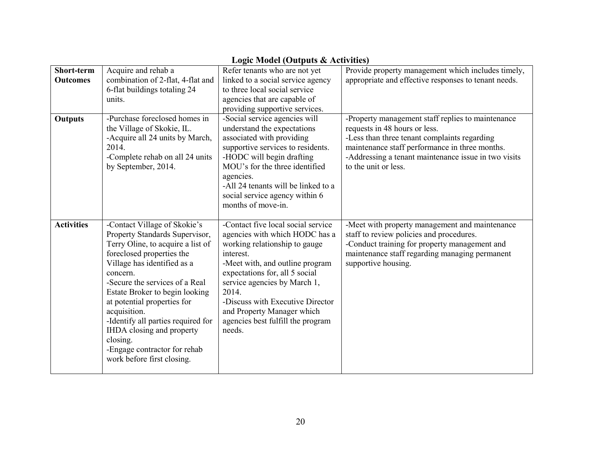|                   | Logic Model (Outputs $\alpha$ Activities)                   |                                                                |                                                                                                        |  |
|-------------------|-------------------------------------------------------------|----------------------------------------------------------------|--------------------------------------------------------------------------------------------------------|--|
| Short-term        | Acquire and rehab a                                         | Refer tenants who are not yet                                  | Provide property management which includes timely,                                                     |  |
| <b>Outcomes</b>   | combination of 2-flat, 4-flat and                           | linked to a social service agency                              | appropriate and effective responses to tenant needs.                                                   |  |
|                   | 6-flat buildings totaling 24                                | to three local social service                                  |                                                                                                        |  |
|                   | units.                                                      | agencies that are capable of                                   |                                                                                                        |  |
|                   |                                                             | providing supportive services.                                 |                                                                                                        |  |
| <b>Outputs</b>    | -Purchase foreclosed homes in<br>the Village of Skokie, IL. | -Social service agencies will<br>understand the expectations   | -Property management staff replies to maintenance<br>requests in 48 hours or less.                     |  |
|                   | -Acquire all 24 units by March,<br>2014.                    | associated with providing<br>supportive services to residents. | -Less than three tenant complaints regarding                                                           |  |
|                   | -Complete rehab on all 24 units                             | -HODC will begin drafting                                      | maintenance staff performance in three months.<br>-Addressing a tenant maintenance issue in two visits |  |
|                   | by September, 2014.                                         | MOU's for the three identified                                 | to the unit or less.                                                                                   |  |
|                   |                                                             | agencies.                                                      |                                                                                                        |  |
|                   |                                                             | -All 24 tenants will be linked to a                            |                                                                                                        |  |
|                   |                                                             | social service agency within 6                                 |                                                                                                        |  |
|                   |                                                             | months of move-in.                                             |                                                                                                        |  |
|                   |                                                             |                                                                |                                                                                                        |  |
| <b>Activities</b> | -Contact Village of Skokie's                                | -Contact five local social service                             | -Meet with property management and maintenance                                                         |  |
|                   | Property Standards Supervisor,                              | agencies with which HODC has a                                 | staff to review policies and procedures.                                                               |  |
|                   | Terry Oline, to acquire a list of                           | working relationship to gauge                                  | -Conduct training for property management and                                                          |  |
|                   | foreclosed properties the                                   | interest.                                                      | maintenance staff regarding managing permanent                                                         |  |
|                   | Village has identified as a                                 | -Meet with, and outline program                                | supportive housing.                                                                                    |  |
|                   | concern.                                                    | expectations for, all 5 social                                 |                                                                                                        |  |
|                   | -Secure the services of a Real                              | service agencies by March 1,                                   |                                                                                                        |  |
|                   | Estate Broker to begin looking                              | 2014.                                                          |                                                                                                        |  |
|                   | at potential properties for                                 | -Discuss with Executive Director                               |                                                                                                        |  |
|                   | acquisition.                                                | and Property Manager which                                     |                                                                                                        |  |
|                   | -Identify all parties required for                          | agencies best fulfill the program<br>needs.                    |                                                                                                        |  |
|                   | IHDA closing and property<br>closing.                       |                                                                |                                                                                                        |  |
|                   |                                                             |                                                                |                                                                                                        |  |
|                   |                                                             |                                                                |                                                                                                        |  |
|                   | -Engage contractor for rehab<br>work before first closing.  |                                                                |                                                                                                        |  |

# Logic Model (Outputs & Activities)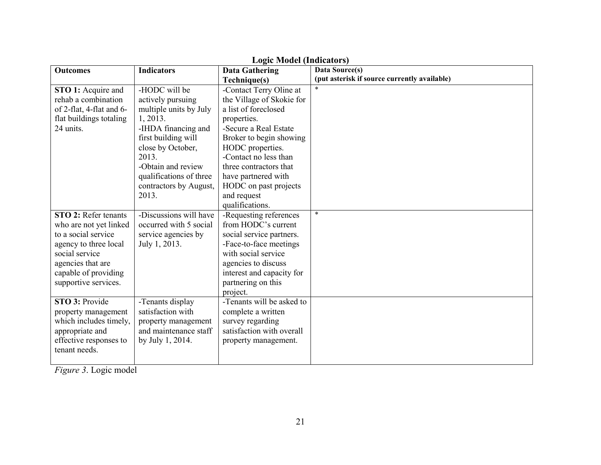| <b>Outcomes</b>                                                                                                                                                                              | <b>Indicators</b>                                                                                                                                                                                                                        | <b>Data Gathering</b>                                                                                                                                                                                                                                                                                 | Data Source(s)                               |
|----------------------------------------------------------------------------------------------------------------------------------------------------------------------------------------------|------------------------------------------------------------------------------------------------------------------------------------------------------------------------------------------------------------------------------------------|-------------------------------------------------------------------------------------------------------------------------------------------------------------------------------------------------------------------------------------------------------------------------------------------------------|----------------------------------------------|
|                                                                                                                                                                                              |                                                                                                                                                                                                                                          |                                                                                                                                                                                                                                                                                                       | (put asterisk if source currently available) |
| STO 1: Acquire and<br>rehab a combination<br>of 2-flat, 4-flat and 6-<br>flat buildings totaling<br>24 units.                                                                                | -HODC will be<br>actively pursuing<br>multiple units by July<br>1, 2013.<br>-IHDA financing and<br>first building will<br>close by October,<br>2013.<br>-Obtain and review<br>qualifications of three<br>contractors by August,<br>2013. | Technique(s)<br>-Contact Terry Oline at<br>the Village of Skokie for<br>a list of foreclosed<br>properties.<br>-Secure a Real Estate<br>Broker to begin showing<br>HODC properties.<br>-Contact no less than<br>three contractors that<br>have partnered with<br>HODC on past projects<br>and request | $\ast$                                       |
|                                                                                                                                                                                              |                                                                                                                                                                                                                                          | qualifications.                                                                                                                                                                                                                                                                                       |                                              |
| <b>STO 2: Refer tenants</b><br>who are not yet linked<br>to a social service<br>agency to three local<br>social service<br>agencies that are<br>capable of providing<br>supportive services. | -Discussions will have<br>occurred with 5 social<br>service agencies by<br>July 1, 2013.                                                                                                                                                 | -Requesting references<br>from HODC's current<br>social service partners.<br>-Face-to-face meetings<br>with social service<br>agencies to discuss<br>interest and capacity for<br>partnering on this<br>project.                                                                                      | $\ast$                                       |
| STO 3: Provide<br>property management<br>which includes timely,<br>appropriate and<br>effective responses to<br>tenant needs.                                                                | -Tenants display<br>satisfaction with<br>property management<br>and maintenance staff<br>by July 1, 2014.                                                                                                                                | -Tenants will be asked to<br>complete a written<br>survey regarding<br>satisfaction with overall<br>property management.                                                                                                                                                                              |                                              |

# **Logic Model (Indicators)**

*Figure 3*. Logic model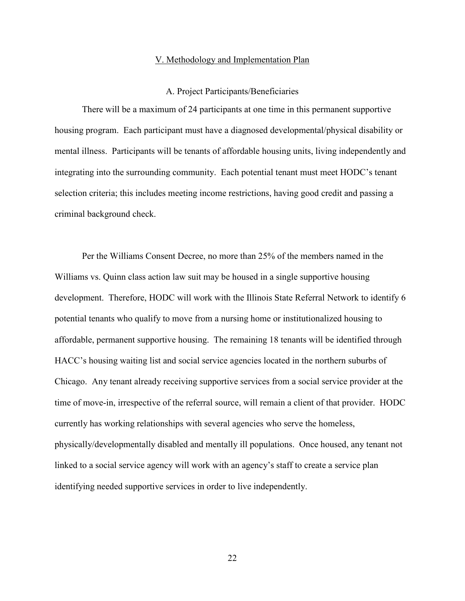#### V. Methodology and Implementation Plan

#### A. Project Participants/Beneficiaries

 There will be a maximum of 24 participants at one time in this permanent supportive housing program. Each participant must have a diagnosed developmental/physical disability or mental illness. Participants will be tenants of affordable housing units, living independently and integrating into the surrounding community. Each potential tenant must meet HODC's tenant selection criteria; this includes meeting income restrictions, having good credit and passing a criminal background check.

 Per the Williams Consent Decree, no more than 25% of the members named in the Williams vs. Quinn class action law suit may be housed in a single supportive housing development. Therefore, HODC will work with the Illinois State Referral Network to identify 6 potential tenants who qualify to move from a nursing home or institutionalized housing to affordable, permanent supportive housing. The remaining 18 tenants will be identified through HACC's housing waiting list and social service agencies located in the northern suburbs of Chicago. Any tenant already receiving supportive services from a social service provider at the time of move-in, irrespective of the referral source, will remain a client of that provider. HODC currently has working relationships with several agencies who serve the homeless, physically/developmentally disabled and mentally ill populations. Once housed, any tenant not linked to a social service agency will work with an agency's staff to create a service plan identifying needed supportive services in order to live independently.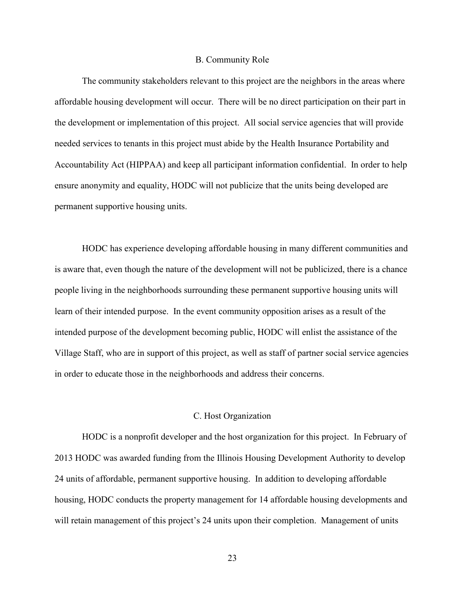#### B. Community Role

 The community stakeholders relevant to this project are the neighbors in the areas where affordable housing development will occur. There will be no direct participation on their part in the development or implementation of this project. All social service agencies that will provide needed services to tenants in this project must abide by the Health Insurance Portability and Accountability Act (HIPPAA) and keep all participant information confidential. In order to help ensure anonymity and equality, HODC will not publicize that the units being developed are permanent supportive housing units.

 HODC has experience developing affordable housing in many different communities and is aware that, even though the nature of the development will not be publicized, there is a chance people living in the neighborhoods surrounding these permanent supportive housing units will learn of their intended purpose. In the event community opposition arises as a result of the intended purpose of the development becoming public, HODC will enlist the assistance of the Village Staff, who are in support of this project, as well as staff of partner social service agencies in order to educate those in the neighborhoods and address their concerns.

#### C. Host Organization

 HODC is a nonprofit developer and the host organization for this project. In February of 2013 HODC was awarded funding from the Illinois Housing Development Authority to develop 24 units of affordable, permanent supportive housing. In addition to developing affordable housing, HODC conducts the property management for 14 affordable housing developments and will retain management of this project's 24 units upon their completion. Management of units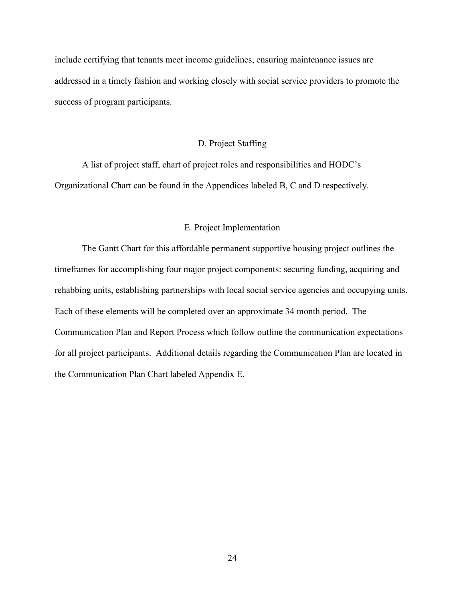include certifying that tenants meet income guidelines, ensuring maintenance issues are addressed in a timely fashion and working closely with social service providers to promote the success of program participants.

# D. Project Staffing

 A list of project staff, chart of project roles and responsibilities and HODC's Organizational Chart can be found in the Appendices labeled B, C and D respectively.

## E. Project Implementation

 The Gantt Chart for this affordable permanent supportive housing project outlines the timeframes for accomplishing four major project components: securing funding, acquiring and rehabbing units, establishing partnerships with local social service agencies and occupying units. Each of these elements will be completed over an approximate 34 month period. The Communication Plan and Report Process which follow outline the communication expectations for all project participants. Additional details regarding the Communication Plan are located in the Communication Plan Chart labeled Appendix E.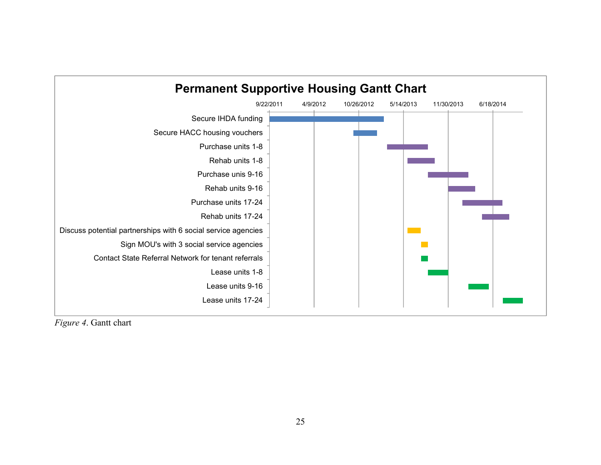

*Figure 4*. Gantt chart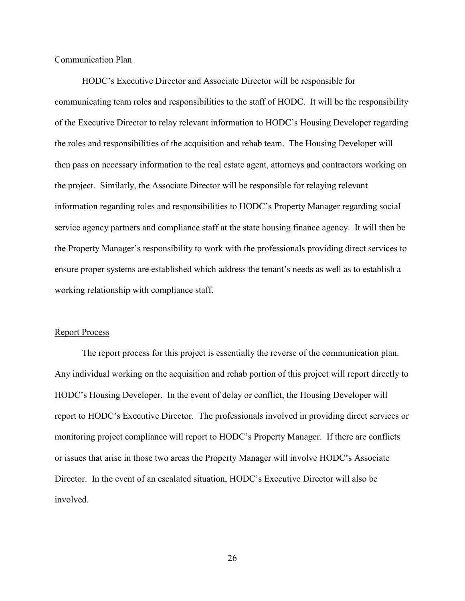## Communication Plan

 HODC's Executive Director and Associate Director will be responsible for communicating team roles and responsibilities to the staff of HODC. It will be the responsibility of the Executive Director to relay relevant information to HODC's Housing Developer regarding the roles and responsibilities of the acquisition and rehab team. The Housing Developer will then pass on necessary information to the real estate agent, attorneys and contractors working on the project. Similarly, the Associate Director will be responsible for relaying relevant information regarding roles and responsibilities to HODC's Property Manager regarding social service agency partners and compliance staff at the state housing finance agency. It will then be the Property Manager's responsibility to work with the professionals providing direct services to ensure proper systems are established which address the tenant's needs as well as to establish a working relationship with compliance staff.

#### Report Process

 The report process for this project is essentially the reverse of the communication plan. Any individual working on the acquisition and rehab portion of this project will report directly to HODC's Housing Developer. In the event of delay or conflict, the Housing Developer will report to HODC's Executive Director. The professionals involved in providing direct services or monitoring project compliance will report to HODC's Property Manager. If there are conflicts or issues that arise in those two areas the Property Manager will involve HODC's Associate Director. In the event of an escalated situation, HODC's Executive Director will also be involved.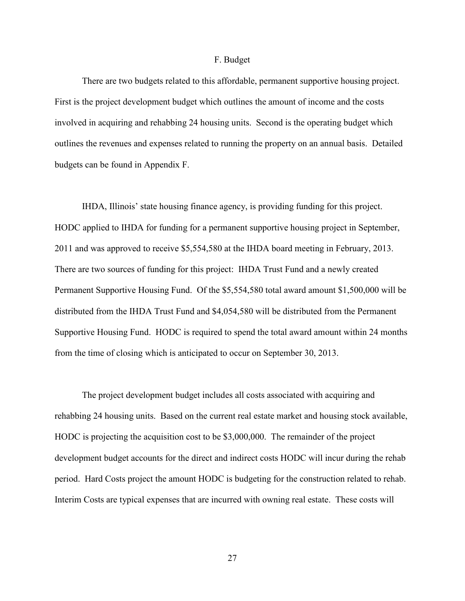#### F. Budget

 There are two budgets related to this affordable, permanent supportive housing project. First is the project development budget which outlines the amount of income and the costs involved in acquiring and rehabbing 24 housing units. Second is the operating budget which outlines the revenues and expenses related to running the property on an annual basis. Detailed budgets can be found in Appendix F.

 IHDA, Illinois' state housing finance agency, is providing funding for this project. HODC applied to IHDA for funding for a permanent supportive housing project in September, 2011 and was approved to receive \$5,554,580 at the IHDA board meeting in February, 2013. There are two sources of funding for this project: IHDA Trust Fund and a newly created Permanent Supportive Housing Fund. Of the \$5,554,580 total award amount \$1,500,000 will be distributed from the IHDA Trust Fund and \$4,054,580 will be distributed from the Permanent Supportive Housing Fund. HODC is required to spend the total award amount within 24 months from the time of closing which is anticipated to occur on September 30, 2013.

 The project development budget includes all costs associated with acquiring and rehabbing 24 housing units. Based on the current real estate market and housing stock available, HODC is projecting the acquisition cost to be \$3,000,000. The remainder of the project development budget accounts for the direct and indirect costs HODC will incur during the rehab period. Hard Costs project the amount HODC is budgeting for the construction related to rehab. Interim Costs are typical expenses that are incurred with owning real estate. These costs will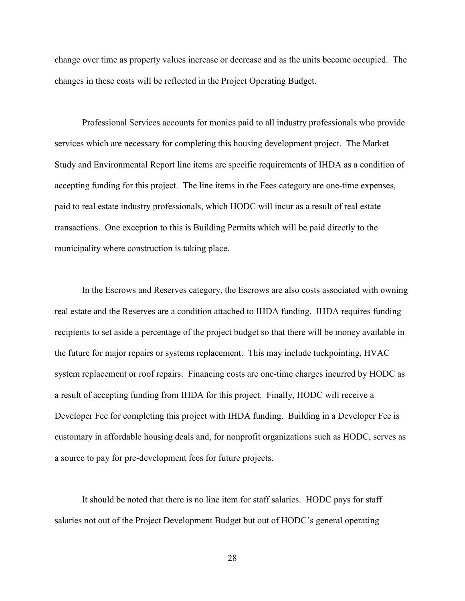change over time as property values increase or decrease and as the units become occupied. The changes in these costs will be reflected in the Project Operating Budget.

 Professional Services accounts for monies paid to all industry professionals who provide services which are necessary for completing this housing development project. The Market Study and Environmental Report line items are specific requirements of IHDA as a condition of accepting funding for this project. The line items in the Fees category are one-time expenses, paid to real estate industry professionals, which HODC will incur as a result of real estate transactions. One exception to this is Building Permits which will be paid directly to the municipality where construction is taking place.

 In the Escrows and Reserves category, the Escrows are also costs associated with owning real estate and the Reserves are a condition attached to IHDA funding. IHDA requires funding recipients to set aside a percentage of the project budget so that there will be money available in the future for major repairs or systems replacement. This may include tuckpointing, HVAC system replacement or roof repairs. Financing costs are one-time charges incurred by HODC as a result of accepting funding from IHDA for this project. Finally, HODC will receive a Developer Fee for completing this project with IHDA funding. Building in a Developer Fee is customary in affordable housing deals and, for nonprofit organizations such as HODC, serves as a source to pay for pre-development fees for future projects.

 It should be noted that there is no line item for staff salaries. HODC pays for staff salaries not out of the Project Development Budget but out of HODC's general operating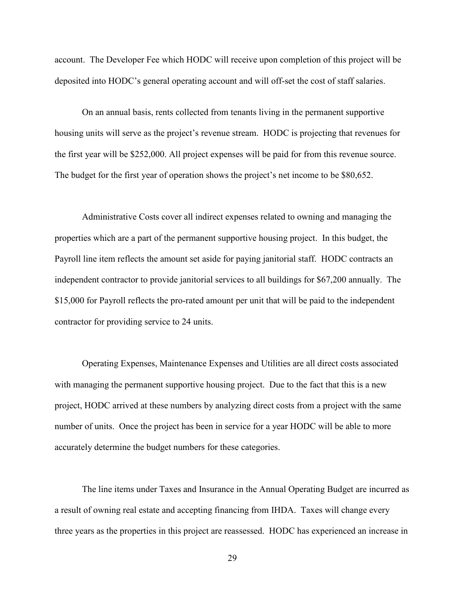account. The Developer Fee which HODC will receive upon completion of this project will be deposited into HODC's general operating account and will off-set the cost of staff salaries.

 On an annual basis, rents collected from tenants living in the permanent supportive housing units will serve as the project's revenue stream. HODC is projecting that revenues for the first year will be \$252,000. All project expenses will be paid for from this revenue source. The budget for the first year of operation shows the project's net income to be \$80,652.

 Administrative Costs cover all indirect expenses related to owning and managing the properties which are a part of the permanent supportive housing project. In this budget, the Payroll line item reflects the amount set aside for paying janitorial staff. HODC contracts an independent contractor to provide janitorial services to all buildings for \$67,200 annually. The \$15,000 for Payroll reflects the pro-rated amount per unit that will be paid to the independent contractor for providing service to 24 units.

 Operating Expenses, Maintenance Expenses and Utilities are all direct costs associated with managing the permanent supportive housing project. Due to the fact that this is a new project, HODC arrived at these numbers by analyzing direct costs from a project with the same number of units. Once the project has been in service for a year HODC will be able to more accurately determine the budget numbers for these categories.

 The line items under Taxes and Insurance in the Annual Operating Budget are incurred as a result of owning real estate and accepting financing from IHDA. Taxes will change every three years as the properties in this project are reassessed. HODC has experienced an increase in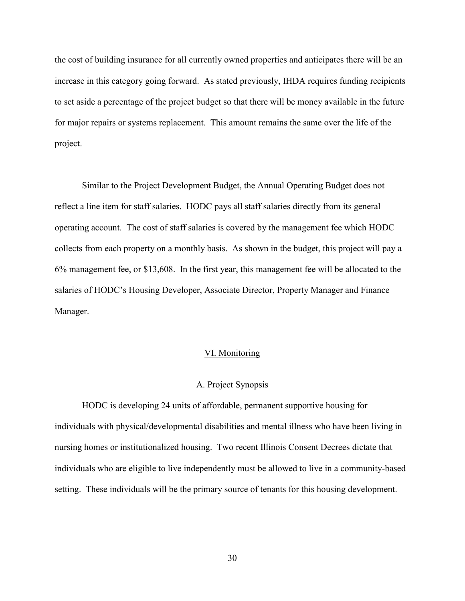the cost of building insurance for all currently owned properties and anticipates there will be an increase in this category going forward. As stated previously, IHDA requires funding recipients to set aside a percentage of the project budget so that there will be money available in the future for major repairs or systems replacement. This amount remains the same over the life of the project.

 Similar to the Project Development Budget, the Annual Operating Budget does not reflect a line item for staff salaries. HODC pays all staff salaries directly from its general operating account. The cost of staff salaries is covered by the management fee which HODC collects from each property on a monthly basis. As shown in the budget, this project will pay a 6% management fee, or \$13,608. In the first year, this management fee will be allocated to the salaries of HODC's Housing Developer, Associate Director, Property Manager and Finance Manager.

#### VI. Monitoring

## A. Project Synopsis

 HODC is developing 24 units of affordable, permanent supportive housing for individuals with physical/developmental disabilities and mental illness who have been living in nursing homes or institutionalized housing. Two recent Illinois Consent Decrees dictate that individuals who are eligible to live independently must be allowed to live in a community-based setting. These individuals will be the primary source of tenants for this housing development.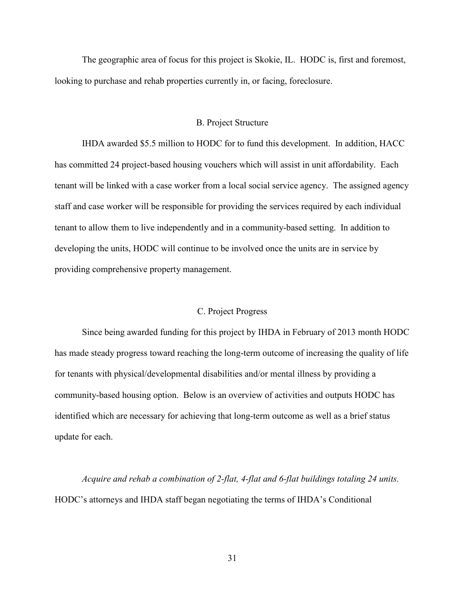The geographic area of focus for this project is Skokie, IL. HODC is, first and foremost, looking to purchase and rehab properties currently in, or facing, foreclosure.

#### B. Project Structure

 IHDA awarded \$5.5 million to HODC for to fund this development. In addition, HACC has committed 24 project-based housing vouchers which will assist in unit affordability. Each tenant will be linked with a case worker from a local social service agency. The assigned agency staff and case worker will be responsible for providing the services required by each individual tenant to allow them to live independently and in a community-based setting. In addition to developing the units, HODC will continue to be involved once the units are in service by providing comprehensive property management.

## C. Project Progress

 Since being awarded funding for this project by IHDA in February of 2013 month HODC has made steady progress toward reaching the long-term outcome of increasing the quality of life for tenants with physical/developmental disabilities and/or mental illness by providing a community-based housing option. Below is an overview of activities and outputs HODC has identified which are necessary for achieving that long-term outcome as well as a brief status update for each.

*Acquire and rehab a combination of 2-flat, 4-flat and 6-flat buildings totaling 24 units.*  HODC's attorneys and IHDA staff began negotiating the terms of IHDA's Conditional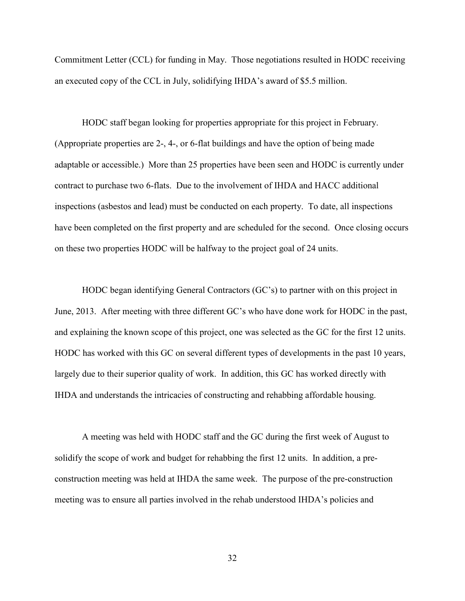Commitment Letter (CCL) for funding in May. Those negotiations resulted in HODC receiving an executed copy of the CCL in July, solidifying IHDA's award of \$5.5 million.

 HODC staff began looking for properties appropriate for this project in February. (Appropriate properties are 2-, 4-, or 6-flat buildings and have the option of being made adaptable or accessible.) More than 25 properties have been seen and HODC is currently under contract to purchase two 6-flats. Due to the involvement of IHDA and HACC additional inspections (asbestos and lead) must be conducted on each property. To date, all inspections have been completed on the first property and are scheduled for the second. Once closing occurs on these two properties HODC will be halfway to the project goal of 24 units.

 HODC began identifying General Contractors (GC's) to partner with on this project in June, 2013. After meeting with three different GC's who have done work for HODC in the past, and explaining the known scope of this project, one was selected as the GC for the first 12 units. HODC has worked with this GC on several different types of developments in the past 10 years, largely due to their superior quality of work. In addition, this GC has worked directly with IHDA and understands the intricacies of constructing and rehabbing affordable housing.

 A meeting was held with HODC staff and the GC during the first week of August to solidify the scope of work and budget for rehabbing the first 12 units. In addition, a preconstruction meeting was held at IHDA the same week. The purpose of the pre-construction meeting was to ensure all parties involved in the rehab understood IHDA's policies and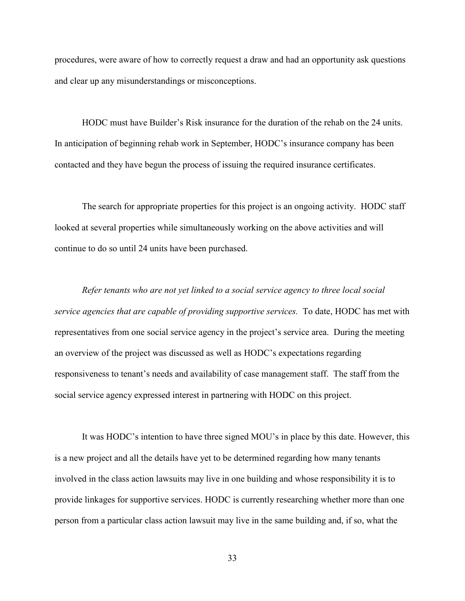procedures, were aware of how to correctly request a draw and had an opportunity ask questions and clear up any misunderstandings or misconceptions.

 HODC must have Builder's Risk insurance for the duration of the rehab on the 24 units. In anticipation of beginning rehab work in September, HODC's insurance company has been contacted and they have begun the process of issuing the required insurance certificates.

 The search for appropriate properties for this project is an ongoing activity. HODC staff looked at several properties while simultaneously working on the above activities and will continue to do so until 24 units have been purchased.

 *Refer tenants who are not yet linked to a social service agency to three local social service agencies that are capable of providing supportive services.* To date, HODC has met with representatives from one social service agency in the project's service area. During the meeting an overview of the project was discussed as well as HODC's expectations regarding responsiveness to tenant's needs and availability of case management staff. The staff from the social service agency expressed interest in partnering with HODC on this project.

 It was HODC's intention to have three signed MOU's in place by this date. However, this is a new project and all the details have yet to be determined regarding how many tenants involved in the class action lawsuits may live in one building and whose responsibility it is to provide linkages for supportive services. HODC is currently researching whether more than one person from a particular class action lawsuit may live in the same building and, if so, what the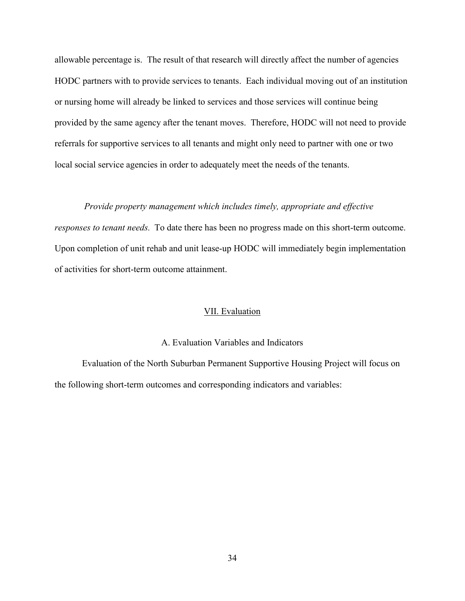allowable percentage is. The result of that research will directly affect the number of agencies HODC partners with to provide services to tenants. Each individual moving out of an institution or nursing home will already be linked to services and those services will continue being provided by the same agency after the tenant moves. Therefore, HODC will not need to provide referrals for supportive services to all tenants and might only need to partner with one or two local social service agencies in order to adequately meet the needs of the tenants.

#### *Provide property management which includes timely, appropriate and effective*

*responses to tenant needs.* To date there has been no progress made on this short-term outcome. Upon completion of unit rehab and unit lease-up HODC will immediately begin implementation of activities for short-term outcome attainment.

## VII. Evaluation

# A. Evaluation Variables and Indicators

 Evaluation of the North Suburban Permanent Supportive Housing Project will focus on the following short-term outcomes and corresponding indicators and variables: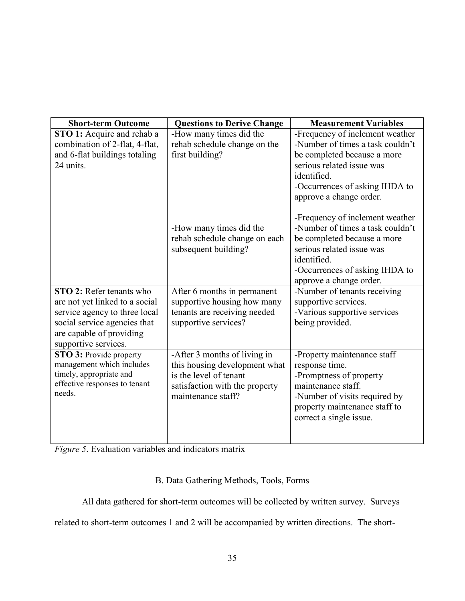| <b>Short-term Outcome</b>       | <b>Questions to Derive Change</b> | <b>Measurement Variables</b>     |
|---------------------------------|-----------------------------------|----------------------------------|
| STO 1: Acquire and rehab a      | -How many times did the           | -Frequency of inclement weather  |
| combination of 2-flat, 4-flat,  | rehab schedule change on the      | -Number of times a task couldn't |
| and 6-flat buildings totaling   | first building?                   | be completed because a more      |
| 24 units.                       |                                   | serious related issue was        |
|                                 |                                   | identified.                      |
|                                 |                                   | -Occurrences of asking IHDA to   |
|                                 |                                   | approve a change order.          |
|                                 |                                   | -Frequency of inclement weather  |
|                                 | -How many times did the           | -Number of times a task couldn't |
|                                 | rehab schedule change on each     | be completed because a more      |
|                                 | subsequent building?              | serious related issue was        |
|                                 |                                   | identified.                      |
|                                 |                                   | -Occurrences of asking IHDA to   |
|                                 |                                   | approve a change order.          |
| <b>STO 2:</b> Refer tenants who | After 6 months in permanent       | -Number of tenants receiving     |
| are not yet linked to a social  | supportive housing how many       | supportive services.             |
| service agency to three local   | tenants are receiving needed      | -Various supportive services     |
| social service agencies that    | supportive services?              | being provided.                  |
| are capable of providing        |                                   |                                  |
| supportive services.            |                                   |                                  |
| STO 3: Provide property         | -After 3 months of living in      | -Property maintenance staff      |
| management which includes       | this housing development what     | response time.                   |
| timely, appropriate and         | is the level of tenant            | -Promptness of property          |
| effective responses to tenant   | satisfaction with the property    | maintenance staff.               |
| needs.                          | maintenance staff?                | -Number of visits required by    |
|                                 |                                   | property maintenance staff to    |
|                                 |                                   | correct a single issue.          |
|                                 |                                   |                                  |
|                                 |                                   |                                  |

*Figure 5*. Evaluation variables and indicators matrix

# B. Data Gathering Methods, Tools, Forms

All data gathered for short-term outcomes will be collected by written survey. Surveys

related to short-term outcomes 1 and 2 will be accompanied by written directions. The short-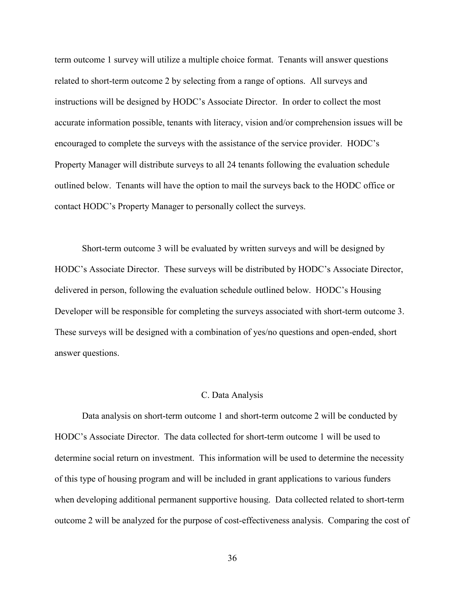term outcome 1 survey will utilize a multiple choice format. Tenants will answer questions related to short-term outcome 2 by selecting from a range of options. All surveys and instructions will be designed by HODC's Associate Director. In order to collect the most accurate information possible, tenants with literacy, vision and/or comprehension issues will be encouraged to complete the surveys with the assistance of the service provider. HODC's Property Manager will distribute surveys to all 24 tenants following the evaluation schedule outlined below. Tenants will have the option to mail the surveys back to the HODC office or contact HODC's Property Manager to personally collect the surveys.

 Short-term outcome 3 will be evaluated by written surveys and will be designed by HODC's Associate Director. These surveys will be distributed by HODC's Associate Director, delivered in person, following the evaluation schedule outlined below. HODC's Housing Developer will be responsible for completing the surveys associated with short-term outcome 3. These surveys will be designed with a combination of yes/no questions and open-ended, short answer questions.

#### C. Data Analysis

 Data analysis on short-term outcome 1 and short-term outcome 2 will be conducted by HODC's Associate Director. The data collected for short-term outcome 1 will be used to determine social return on investment. This information will be used to determine the necessity of this type of housing program and will be included in grant applications to various funders when developing additional permanent supportive housing. Data collected related to short-term outcome 2 will be analyzed for the purpose of cost-effectiveness analysis. Comparing the cost of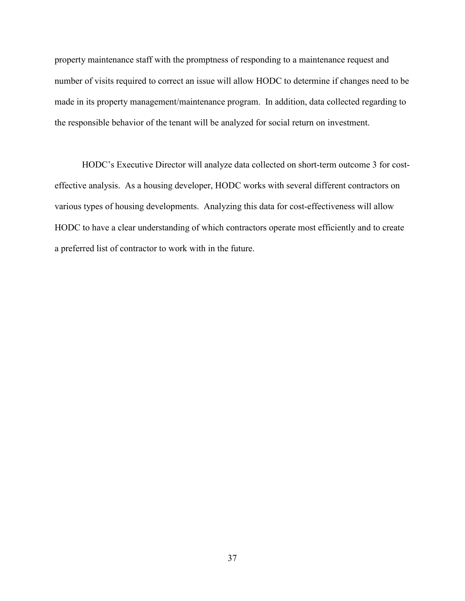property maintenance staff with the promptness of responding to a maintenance request and number of visits required to correct an issue will allow HODC to determine if changes need to be made in its property management/maintenance program. In addition, data collected regarding to the responsible behavior of the tenant will be analyzed for social return on investment.

 HODC's Executive Director will analyze data collected on short-term outcome 3 for costeffective analysis. As a housing developer, HODC works with several different contractors on various types of housing developments. Analyzing this data for cost-effectiveness will allow HODC to have a clear understanding of which contractors operate most efficiently and to create a preferred list of contractor to work with in the future.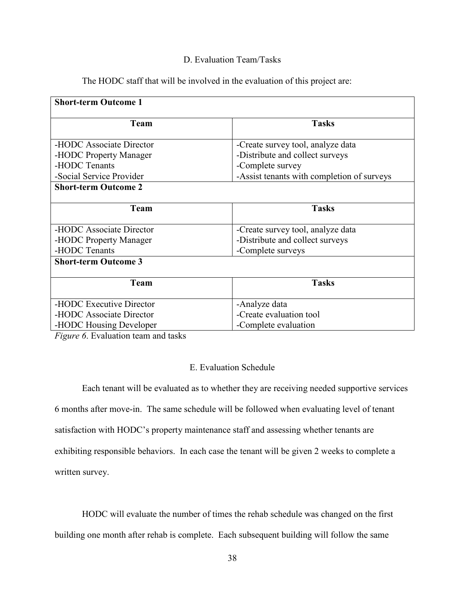# D. Evaluation Team/Tasks

The HODC staff that will be involved in the evaluation of this project are:

| <b>Short-term Outcome 1</b> |                                            |
|-----------------------------|--------------------------------------------|
| Team                        | <b>Tasks</b>                               |
| -HODC Associate Director    | -Create survey tool, analyze data          |
| -HODC Property Manager      | -Distribute and collect surveys            |
| -HODC Tenants               | -Complete survey                           |
| -Social Service Provider    | -Assist tenants with completion of surveys |
| <b>Short-term Outcome 2</b> |                                            |
|                             |                                            |
| <b>Team</b>                 | <b>Tasks</b>                               |
| -HODC Associate Director    | -Create survey tool, analyze data          |
| -HODC Property Manager      | -Distribute and collect surveys            |
| -HODC Tenants               | -Complete surveys                          |
| <b>Short-term Outcome 3</b> |                                            |
|                             |                                            |
| Team                        | <b>Tasks</b>                               |
| -HODC Executive Director    | -Analyze data                              |
| -HODC Associate Director    | -Create evaluation tool                    |
| -HODC Housing Developer     | -Complete evaluation                       |

*Figure 6*. Evaluation team and tasks

# E. Evaluation Schedule

 Each tenant will be evaluated as to whether they are receiving needed supportive services 6 months after move-in. The same schedule will be followed when evaluating level of tenant satisfaction with HODC's property maintenance staff and assessing whether tenants are exhibiting responsible behaviors. In each case the tenant will be given 2 weeks to complete a written survey.

 HODC will evaluate the number of times the rehab schedule was changed on the first building one month after rehab is complete. Each subsequent building will follow the same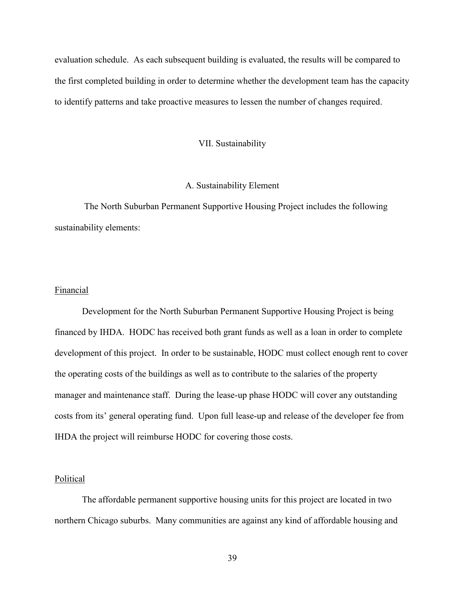evaluation schedule. As each subsequent building is evaluated, the results will be compared to the first completed building in order to determine whether the development team has the capacity to identify patterns and take proactive measures to lessen the number of changes required.

#### VII. Sustainability

## A. Sustainability Element

 The North Suburban Permanent Supportive Housing Project includes the following sustainability elements:

#### Financial

 Development for the North Suburban Permanent Supportive Housing Project is being financed by IHDA. HODC has received both grant funds as well as a loan in order to complete development of this project. In order to be sustainable, HODC must collect enough rent to cover the operating costs of the buildings as well as to contribute to the salaries of the property manager and maintenance staff. During the lease-up phase HODC will cover any outstanding costs from its' general operating fund. Upon full lease-up and release of the developer fee from IHDA the project will reimburse HODC for covering those costs.

#### Political

 The affordable permanent supportive housing units for this project are located in two northern Chicago suburbs. Many communities are against any kind of affordable housing and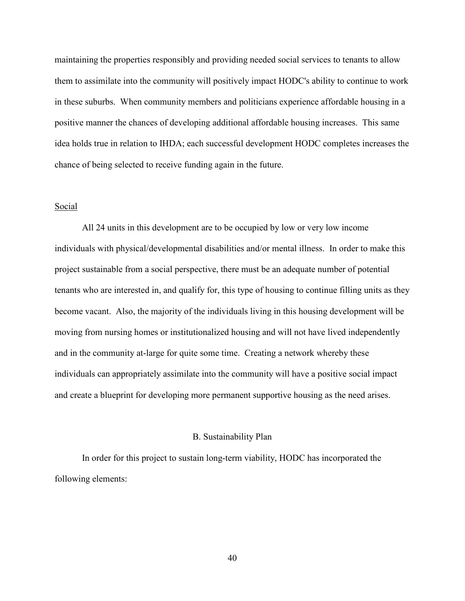maintaining the properties responsibly and providing needed social services to tenants to allow them to assimilate into the community will positively impact HODC's ability to continue to work in these suburbs. When community members and politicians experience affordable housing in a positive manner the chances of developing additional affordable housing increases. This same idea holds true in relation to IHDA; each successful development HODC completes increases the chance of being selected to receive funding again in the future.

## Social

 All 24 units in this development are to be occupied by low or very low income individuals with physical/developmental disabilities and/or mental illness. In order to make this project sustainable from a social perspective, there must be an adequate number of potential tenants who are interested in, and qualify for, this type of housing to continue filling units as they become vacant. Also, the majority of the individuals living in this housing development will be moving from nursing homes or institutionalized housing and will not have lived independently and in the community at-large for quite some time. Creating a network whereby these individuals can appropriately assimilate into the community will have a positive social impact and create a blueprint for developing more permanent supportive housing as the need arises.

#### B. Sustainability Plan

 In order for this project to sustain long-term viability, HODC has incorporated the following elements: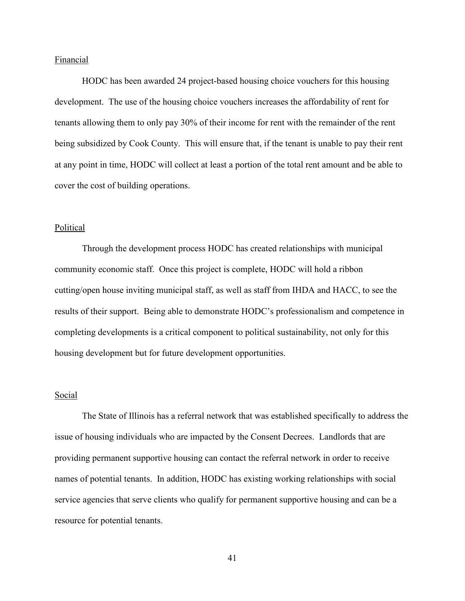#### Financial

 HODC has been awarded 24 project-based housing choice vouchers for this housing development. The use of the housing choice vouchers increases the affordability of rent for tenants allowing them to only pay 30% of their income for rent with the remainder of the rent being subsidized by Cook County. This will ensure that, if the tenant is unable to pay their rent at any point in time, HODC will collect at least a portion of the total rent amount and be able to cover the cost of building operations.

## Political

 Through the development process HODC has created relationships with municipal community economic staff. Once this project is complete, HODC will hold a ribbon cutting/open house inviting municipal staff, as well as staff from IHDA and HACC, to see the results of their support. Being able to demonstrate HODC's professionalism and competence in completing developments is a critical component to political sustainability, not only for this housing development but for future development opportunities.

## Social

 The State of Illinois has a referral network that was established specifically to address the issue of housing individuals who are impacted by the Consent Decrees. Landlords that are providing permanent supportive housing can contact the referral network in order to receive names of potential tenants. In addition, HODC has existing working relationships with social service agencies that serve clients who qualify for permanent supportive housing and can be a resource for potential tenants.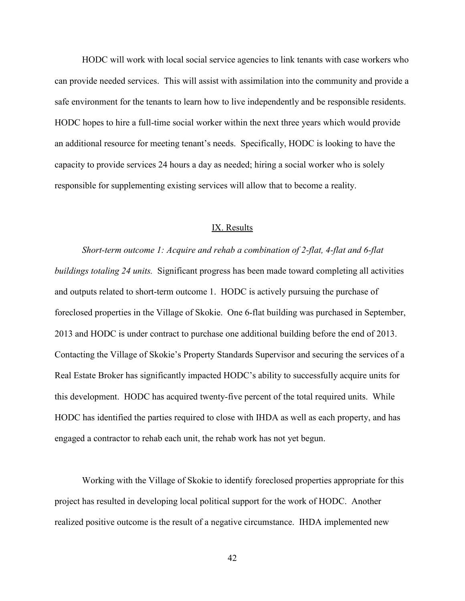HODC will work with local social service agencies to link tenants with case workers who can provide needed services. This will assist with assimilation into the community and provide a safe environment for the tenants to learn how to live independently and be responsible residents. HODC hopes to hire a full-time social worker within the next three years which would provide an additional resource for meeting tenant's needs. Specifically, HODC is looking to have the capacity to provide services 24 hours a day as needed; hiring a social worker who is solely responsible for supplementing existing services will allow that to become a reality.

#### IX. Results

*Short-term outcome 1: Acquire and rehab a combination of 2-flat, 4-flat and 6-flat buildings totaling 24 units.* Significant progress has been made toward completing all activities and outputs related to short-term outcome 1. HODC is actively pursuing the purchase of foreclosed properties in the Village of Skokie. One 6-flat building was purchased in September, 2013 and HODC is under contract to purchase one additional building before the end of 2013. Contacting the Village of Skokie's Property Standards Supervisor and securing the services of a Real Estate Broker has significantly impacted HODC's ability to successfully acquire units for this development. HODC has acquired twenty-five percent of the total required units. While HODC has identified the parties required to close with IHDA as well as each property, and has engaged a contractor to rehab each unit, the rehab work has not yet begun.

 Working with the Village of Skokie to identify foreclosed properties appropriate for this project has resulted in developing local political support for the work of HODC. Another realized positive outcome is the result of a negative circumstance. IHDA implemented new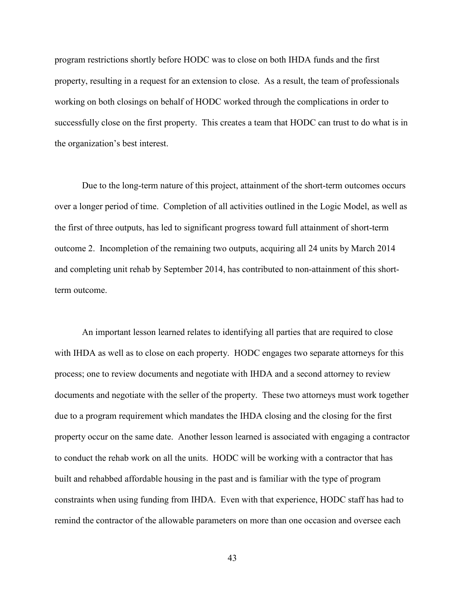program restrictions shortly before HODC was to close on both IHDA funds and the first property, resulting in a request for an extension to close. As a result, the team of professionals working on both closings on behalf of HODC worked through the complications in order to successfully close on the first property. This creates a team that HODC can trust to do what is in the organization's best interest.

 Due to the long-term nature of this project, attainment of the short-term outcomes occurs over a longer period of time. Completion of all activities outlined in the Logic Model, as well as the first of three outputs, has led to significant progress toward full attainment of short-term outcome 2. Incompletion of the remaining two outputs, acquiring all 24 units by March 2014 and completing unit rehab by September 2014, has contributed to non-attainment of this shortterm outcome.

 An important lesson learned relates to identifying all parties that are required to close with IHDA as well as to close on each property. HODC engages two separate attorneys for this process; one to review documents and negotiate with IHDA and a second attorney to review documents and negotiate with the seller of the property. These two attorneys must work together due to a program requirement which mandates the IHDA closing and the closing for the first property occur on the same date. Another lesson learned is associated with engaging a contractor to conduct the rehab work on all the units. HODC will be working with a contractor that has built and rehabbed affordable housing in the past and is familiar with the type of program constraints when using funding from IHDA. Even with that experience, HODC staff has had to remind the contractor of the allowable parameters on more than one occasion and oversee each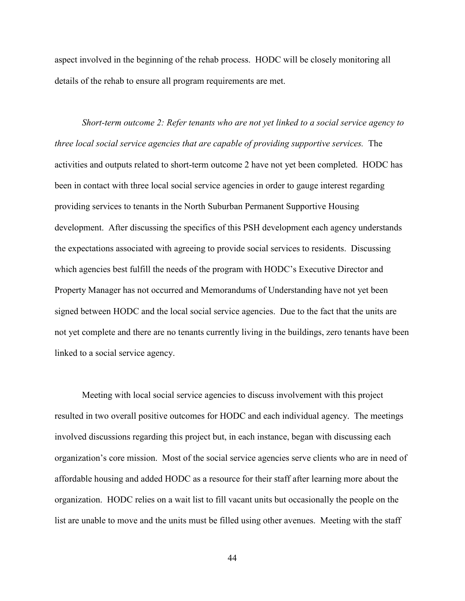aspect involved in the beginning of the rehab process. HODC will be closely monitoring all details of the rehab to ensure all program requirements are met.

 *Short-term outcome 2: Refer tenants who are not yet linked to a social service agency to three local social service agencies that are capable of providing supportive services.* The activities and outputs related to short-term outcome 2 have not yet been completed. HODC has been in contact with three local social service agencies in order to gauge interest regarding providing services to tenants in the North Suburban Permanent Supportive Housing development. After discussing the specifics of this PSH development each agency understands the expectations associated with agreeing to provide social services to residents. Discussing which agencies best fulfill the needs of the program with HODC's Executive Director and Property Manager has not occurred and Memorandums of Understanding have not yet been signed between HODC and the local social service agencies. Due to the fact that the units are not yet complete and there are no tenants currently living in the buildings, zero tenants have been linked to a social service agency.

Meeting with local social service agencies to discuss involvement with this project resulted in two overall positive outcomes for HODC and each individual agency. The meetings involved discussions regarding this project but, in each instance, began with discussing each organization's core mission. Most of the social service agencies serve clients who are in need of affordable housing and added HODC as a resource for their staff after learning more about the organization. HODC relies on a wait list to fill vacant units but occasionally the people on the list are unable to move and the units must be filled using other avenues. Meeting with the staff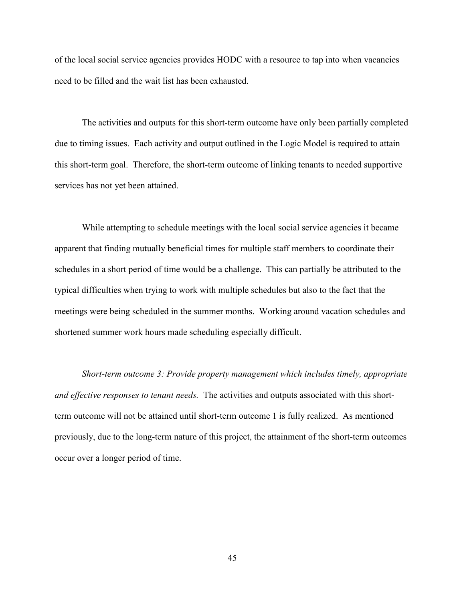of the local social service agencies provides HODC with a resource to tap into when vacancies need to be filled and the wait list has been exhausted.

 The activities and outputs for this short-term outcome have only been partially completed due to timing issues. Each activity and output outlined in the Logic Model is required to attain this short-term goal. Therefore, the short-term outcome of linking tenants to needed supportive services has not yet been attained.

 While attempting to schedule meetings with the local social service agencies it became apparent that finding mutually beneficial times for multiple staff members to coordinate their schedules in a short period of time would be a challenge. This can partially be attributed to the typical difficulties when trying to work with multiple schedules but also to the fact that the meetings were being scheduled in the summer months. Working around vacation schedules and shortened summer work hours made scheduling especially difficult.

*Short-term outcome 3: Provide property management which includes timely, appropriate and effective responses to tenant needs.* The activities and outputs associated with this shortterm outcome will not be attained until short-term outcome 1 is fully realized. As mentioned previously, due to the long-term nature of this project, the attainment of the short-term outcomes occur over a longer period of time.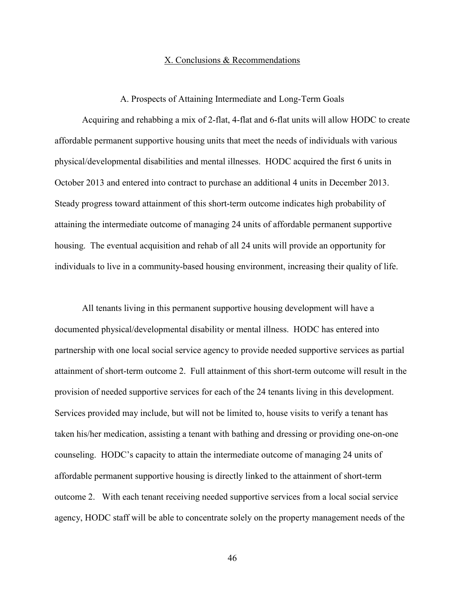#### X. Conclusions & Recommendations

#### A. Prospects of Attaining Intermediate and Long-Term Goals

 Acquiring and rehabbing a mix of 2-flat, 4-flat and 6-flat units will allow HODC to create affordable permanent supportive housing units that meet the needs of individuals with various physical/developmental disabilities and mental illnesses. HODC acquired the first 6 units in October 2013 and entered into contract to purchase an additional 4 units in December 2013. Steady progress toward attainment of this short-term outcome indicates high probability of attaining the intermediate outcome of managing 24 units of affordable permanent supportive housing. The eventual acquisition and rehab of all 24 units will provide an opportunity for individuals to live in a community-based housing environment, increasing their quality of life.

 All tenants living in this permanent supportive housing development will have a documented physical/developmental disability or mental illness. HODC has entered into partnership with one local social service agency to provide needed supportive services as partial attainment of short-term outcome 2. Full attainment of this short-term outcome will result in the provision of needed supportive services for each of the 24 tenants living in this development. Services provided may include, but will not be limited to, house visits to verify a tenant has taken his/her medication, assisting a tenant with bathing and dressing or providing one-on-one counseling. HODC's capacity to attain the intermediate outcome of managing 24 units of affordable permanent supportive housing is directly linked to the attainment of short-term outcome 2. With each tenant receiving needed supportive services from a local social service agency, HODC staff will be able to concentrate solely on the property management needs of the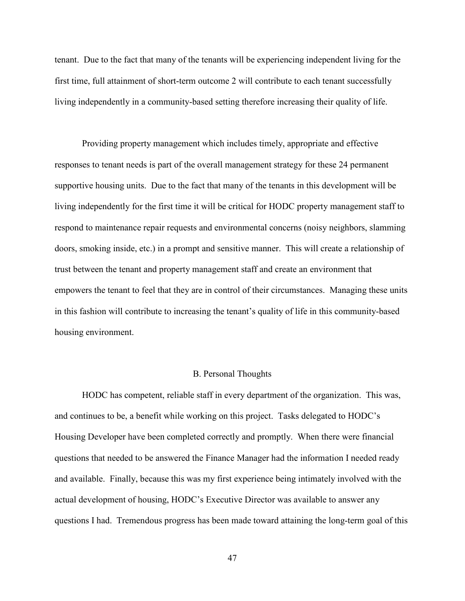tenant. Due to the fact that many of the tenants will be experiencing independent living for the first time, full attainment of short-term outcome 2 will contribute to each tenant successfully living independently in a community-based setting therefore increasing their quality of life.

 Providing property management which includes timely, appropriate and effective responses to tenant needs is part of the overall management strategy for these 24 permanent supportive housing units. Due to the fact that many of the tenants in this development will be living independently for the first time it will be critical for HODC property management staff to respond to maintenance repair requests and environmental concerns (noisy neighbors, slamming doors, smoking inside, etc.) in a prompt and sensitive manner. This will create a relationship of trust between the tenant and property management staff and create an environment that empowers the tenant to feel that they are in control of their circumstances. Managing these units in this fashion will contribute to increasing the tenant's quality of life in this community-based housing environment.

#### B. Personal Thoughts

 HODC has competent, reliable staff in every department of the organization. This was, and continues to be, a benefit while working on this project. Tasks delegated to HODC's Housing Developer have been completed correctly and promptly. When there were financial questions that needed to be answered the Finance Manager had the information I needed ready and available. Finally, because this was my first experience being intimately involved with the actual development of housing, HODC's Executive Director was available to answer any questions I had. Tremendous progress has been made toward attaining the long-term goal of this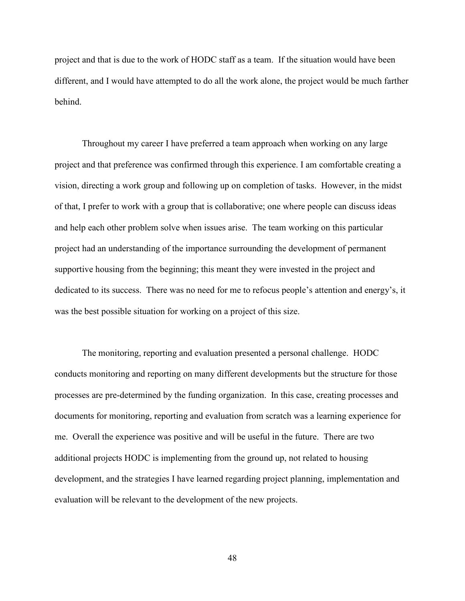project and that is due to the work of HODC staff as a team. If the situation would have been different, and I would have attempted to do all the work alone, the project would be much farther behind.

 Throughout my career I have preferred a team approach when working on any large project and that preference was confirmed through this experience. I am comfortable creating a vision, directing a work group and following up on completion of tasks. However, in the midst of that, I prefer to work with a group that is collaborative; one where people can discuss ideas and help each other problem solve when issues arise. The team working on this particular project had an understanding of the importance surrounding the development of permanent supportive housing from the beginning; this meant they were invested in the project and dedicated to its success. There was no need for me to refocus people's attention and energy's, it was the best possible situation for working on a project of this size.

 The monitoring, reporting and evaluation presented a personal challenge. HODC conducts monitoring and reporting on many different developments but the structure for those processes are pre-determined by the funding organization. In this case, creating processes and documents for monitoring, reporting and evaluation from scratch was a learning experience for me. Overall the experience was positive and will be useful in the future. There are two additional projects HODC is implementing from the ground up, not related to housing development, and the strategies I have learned regarding project planning, implementation and evaluation will be relevant to the development of the new projects.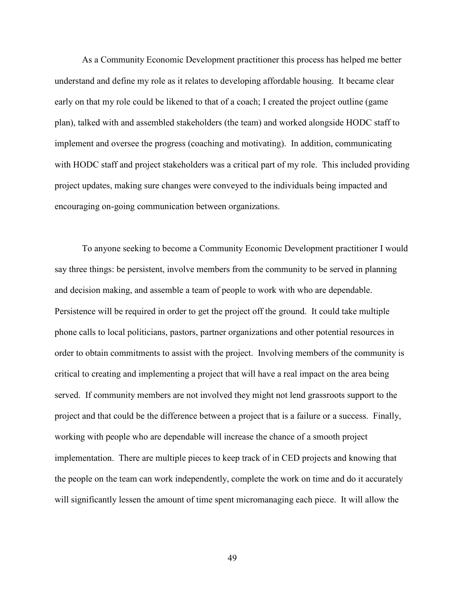As a Community Economic Development practitioner this process has helped me better understand and define my role as it relates to developing affordable housing. It became clear early on that my role could be likened to that of a coach; I created the project outline (game plan), talked with and assembled stakeholders (the team) and worked alongside HODC staff to implement and oversee the progress (coaching and motivating). In addition, communicating with HODC staff and project stakeholders was a critical part of my role. This included providing project updates, making sure changes were conveyed to the individuals being impacted and encouraging on-going communication between organizations.

 To anyone seeking to become a Community Economic Development practitioner I would say three things: be persistent, involve members from the community to be served in planning and decision making, and assemble a team of people to work with who are dependable. Persistence will be required in order to get the project off the ground. It could take multiple phone calls to local politicians, pastors, partner organizations and other potential resources in order to obtain commitments to assist with the project. Involving members of the community is critical to creating and implementing a project that will have a real impact on the area being served. If community members are not involved they might not lend grassroots support to the project and that could be the difference between a project that is a failure or a success. Finally, working with people who are dependable will increase the chance of a smooth project implementation. There are multiple pieces to keep track of in CED projects and knowing that the people on the team can work independently, complete the work on time and do it accurately will significantly lessen the amount of time spent micromanaging each piece. It will allow the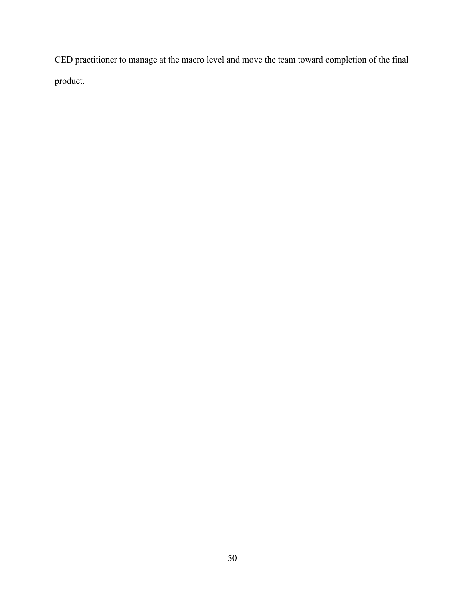CED practitioner to manage at the macro level and move the team toward completion of the final product.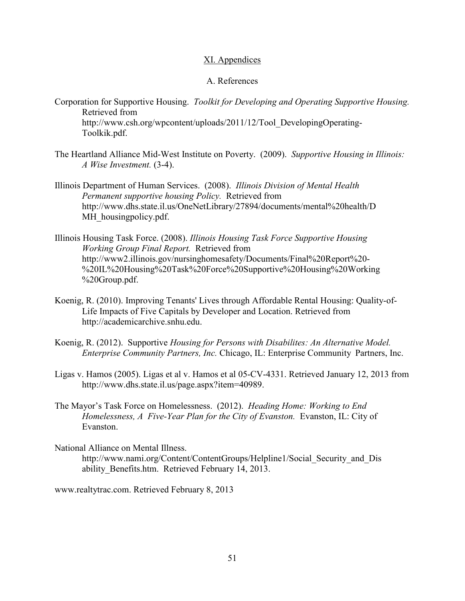## XI. Appendices

## A. References

Corporation for Supportive Housing. *Toolkit for Developing and Operating Supportive Housing.* Retrieved from http://www.csh.org/wpcontent/uploads/2011/12/Tool\_DevelopingOperating-

Toolkik.pdf.

- The Heartland Alliance Mid-West Institute on Poverty. (2009). *Supportive Housing in Illinois: A Wise Investment.* (3-4).
- Illinois Department of Human Services. (2008). *Illinois Division of Mental Health Permanent supportive housing Policy.* Retrieved from http://www.dhs.state.il.us/OneNetLibrary/27894/documents/mental%20health/D MH housingpolicy.pdf.
- Illinois Housing Task Force. (2008). *Illinois Housing Task Force Supportive Housing Working Group Final Report.* Retrieved from http://www2.illinois.gov/nursinghomesafety/Documents/Final%20Report%20- %20IL%20Housing%20Task%20Force%20Supportive%20Housing%20Working %20Group.pdf.
- Koenig, R. (2010). Improving Tenants' Lives through Affordable Rental Housing: Quality-of- Life Impacts of Five Capitals by Developer and Location. Retrieved from http://academicarchive.snhu.edu.
- Koenig, R. (2012). Supportive *Housing for Persons with Disabilites: An Alternative Model. Enterprise Community Partners, Inc.* Chicago, IL: Enterprise Community Partners, Inc.
- Ligas v. Hamos (2005). Ligas et al v. Hamos et al 05-CV-4331. Retrieved January 12, 2013 from http://www.dhs.state.il.us/page.aspx?item=40989.
- The Mayor's Task Force on Homelessness. (2012). *Heading Home: Working to End Homelessness, A Five-Year Plan for the City of Evanston.* Evanston, IL: City of Evanston.
- National Alliance on Mental Illness. http://www.nami.org/Content/ContentGroups/Helpline1/Social\_Security\_and\_Dis ability\_Benefits.htm. Retrieved February 14, 2013.

www.realtytrac.com. Retrieved February 8, 2013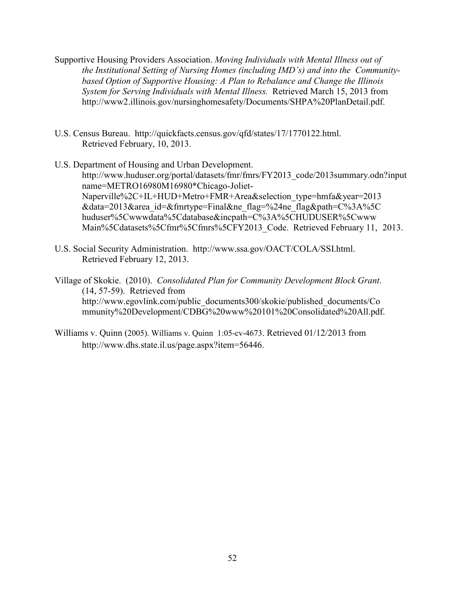- Supportive Housing Providers Association. *Moving Individuals with Mental Illness out of the Institutional Setting of Nursing Homes (including IMD's) and into the Community based Option of Supportive Housing: A Plan to Rebalance and Change the Illinois System for Serving Individuals with Mental Illness.* Retrieved March 15, 2013 from http://www2.illinois.gov/nursinghomesafety/Documents/SHPA%20PlanDetail.pdf.
- U.S. Census Bureau. http://quickfacts.census.gov/qfd/states/17/1770122.html. Retrieved February, 10, 2013.
- U.S. Department of Housing and Urban Development. http://www.huduser.org/portal/datasets/fmr/fmrs/FY2013\_code/2013summary.odn?input name=METRO16980M16980\*Chicago-Joliet- Naperville%2C+IL+HUD+Metro+FMR+Area&selection\_type=hmfa&year=2013 &data=2013&area\_id=&fmrtype=Final&ne\_flag=%24ne\_flag&path=C%3A%5C huduser%5Cwwwdata%5Cdatabase&incpath=C%3A%5CHUDUSER%5Cwww Main%5Cdatasets%5Cfmr%5Cfmrs%5CFY2013\_Code. Retrieved February 11, 2013.
- U.S. Social Security Administration. http://www.ssa.gov/OACT/COLA/SSI.html. Retrieved February 12, 2013.

Village of Skokie. (2010). *Consolidated Plan for Community Development Block Grant*. (14, 57-59). Retrieved from http://www.egovlink.com/public\_documents300/skokie/published\_documents/Co mmunity%20Development/CDBG%20www%20101%20Consolidated%20All.pdf.

Williams v. Quinn (2005). Williams v. Quinn 1:05-cv-4673. Retrieved 01/12/2013 from http://www.dhs.state.il.us/page.aspx?item=56446.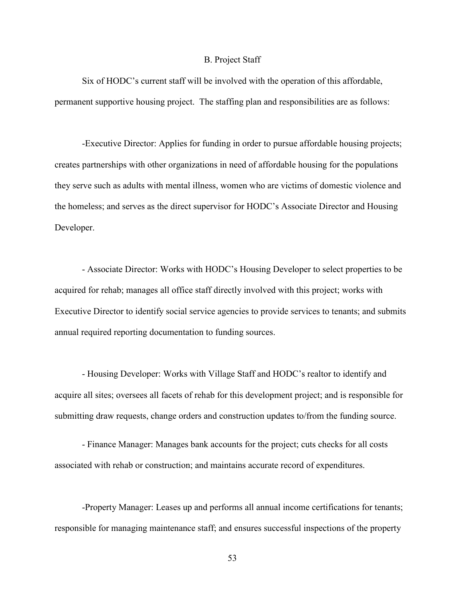#### B. Project Staff

 Six of HODC's current staff will be involved with the operation of this affordable, permanent supportive housing project. The staffing plan and responsibilities are as follows:

 -Executive Director: Applies for funding in order to pursue affordable housing projects; creates partnerships with other organizations in need of affordable housing for the populations they serve such as adults with mental illness, women who are victims of domestic violence and the homeless; and serves as the direct supervisor for HODC's Associate Director and Housing Developer.

 - Associate Director: Works with HODC's Housing Developer to select properties to be acquired for rehab; manages all office staff directly involved with this project; works with Executive Director to identify social service agencies to provide services to tenants; and submits annual required reporting documentation to funding sources.

 - Housing Developer: Works with Village Staff and HODC's realtor to identify and acquire all sites; oversees all facets of rehab for this development project; and is responsible for submitting draw requests, change orders and construction updates to/from the funding source.

 - Finance Manager: Manages bank accounts for the project; cuts checks for all costs associated with rehab or construction; and maintains accurate record of expenditures.

 -Property Manager: Leases up and performs all annual income certifications for tenants; responsible for managing maintenance staff; and ensures successful inspections of the property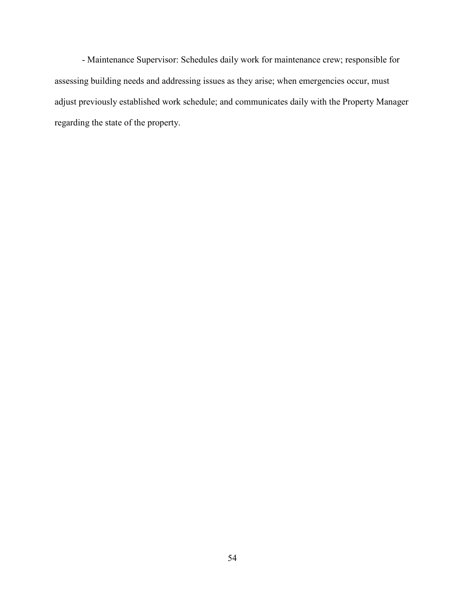- Maintenance Supervisor: Schedules daily work for maintenance crew; responsible for assessing building needs and addressing issues as they arise; when emergencies occur, must adjust previously established work schedule; and communicates daily with the Property Manager regarding the state of the property.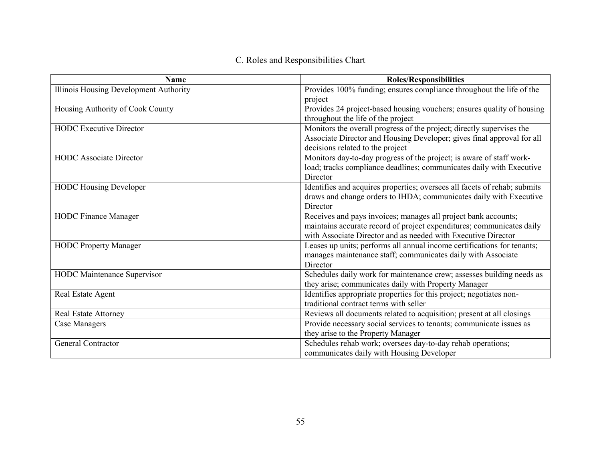# C. Roles and Responsibilities Chart

| <b>Name</b>                            | <b>Roles/Responsibilities</b>                                             |
|----------------------------------------|---------------------------------------------------------------------------|
| Illinois Housing Development Authority | Provides 100% funding; ensures compliance throughout the life of the      |
|                                        | project                                                                   |
| Housing Authority of Cook County       | Provides 24 project-based housing vouchers; ensures quality of housing    |
|                                        | throughout the life of the project                                        |
| <b>HODC</b> Executive Director         | Monitors the overall progress of the project; directly supervises the     |
|                                        | Associate Director and Housing Developer; gives final approval for all    |
|                                        | decisions related to the project                                          |
| <b>HODC</b> Associate Director         | Monitors day-to-day progress of the project; is aware of staff work-      |
|                                        | load; tracks compliance deadlines; communicates daily with Executive      |
|                                        | Director                                                                  |
| <b>HODC Housing Developer</b>          | Identifies and acquires properties; oversees all facets of rehab; submits |
|                                        | draws and change orders to IHDA; communicates daily with Executive        |
|                                        | Director                                                                  |
| <b>HODC Finance Manager</b>            | Receives and pays invoices; manages all project bank accounts;            |
|                                        | maintains accurate record of project expenditures; communicates daily     |
|                                        | with Associate Director and as needed with Executive Director             |
| <b>HODC Property Manager</b>           | Leases up units; performs all annual income certifications for tenants;   |
|                                        | manages maintenance staff; communicates daily with Associate              |
|                                        | Director                                                                  |
| <b>HODC</b> Maintenance Supervisor     | Schedules daily work for maintenance crew; assesses building needs as     |
|                                        | they arise; communicates daily with Property Manager                      |
| Real Estate Agent                      | Identifies appropriate properties for this project; negotiates non-       |
|                                        | traditional contract terms with seller                                    |
| <b>Real Estate Attorney</b>            | Reviews all documents related to acquisition; present at all closings     |
| Case Managers                          | Provide necessary social services to tenants; communicate issues as       |
|                                        | they arise to the Property Manager                                        |
| <b>General Contractor</b>              | Schedules rehab work; oversees day-to-day rehab operations;               |
|                                        | communicates daily with Housing Developer                                 |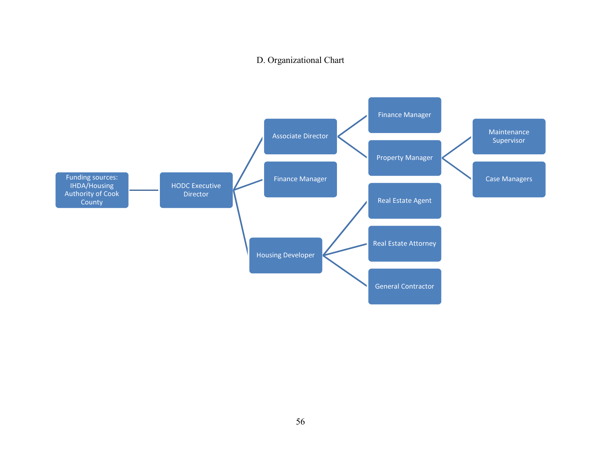# D. Organizational Chart

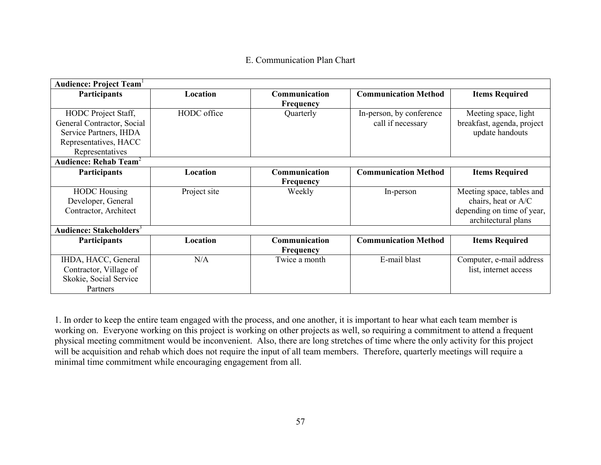# E. Communication Plan Chart

| <b>Audience: Project Team</b>       |              |                  |                             |                            |
|-------------------------------------|--------------|------------------|-----------------------------|----------------------------|
| <b>Participants</b>                 | Location     | Communication    | <b>Communication Method</b> | <b>Items Required</b>      |
|                                     |              | Frequency        |                             |                            |
| HODC Project Staff,                 | HODC office  | Quarterly        | In-person, by conference    | Meeting space, light       |
| General Contractor, Social          |              |                  | call if necessary           | breakfast, agenda, project |
| Service Partners, IHDA              |              |                  |                             | update handouts            |
| Representatives, HACC               |              |                  |                             |                            |
| Representatives                     |              |                  |                             |                            |
| Audience: Rehab Team <sup>2</sup>   |              |                  |                             |                            |
| Participants                        | Location     | Communication    | <b>Communication Method</b> | <b>Items Required</b>      |
|                                     |              | Frequency        |                             |                            |
| <b>HODC</b> Housing                 | Project site | Weekly           | In-person                   | Meeting space, tables and  |
| Developer, General                  |              |                  |                             | chairs, heat or A/C        |
| Contractor, Architect               |              |                  |                             | depending on time of year, |
|                                     |              |                  |                             | architectural plans        |
| Audience: Stakeholders <sup>3</sup> |              |                  |                             |                            |
| <b>Participants</b>                 | Location     | Communication    | <b>Communication Method</b> | <b>Items Required</b>      |
|                                     |              | <b>Frequency</b> |                             |                            |
| IHDA, HACC, General                 | N/A          | Twice a month    | E-mail blast                | Computer, e-mail address   |
| Contractor, Village of              |              |                  |                             | list, internet access      |
| Skokie, Social Service              |              |                  |                             |                            |
| Partners                            |              |                  |                             |                            |

1. In order to keep the entire team engaged with the process, and one another, it is important to hear what each team member is working on. Everyone working on this project is working on other projects as well, so requiring a commitment to attend a frequent physical meeting commitment would be inconvenient. Also, there are long stretches of time where the only activity for this project will be acquisition and rehab which does not require the input of all team members. Therefore, quarterly meetings will require a minimal time commitment while encouraging engagement from all.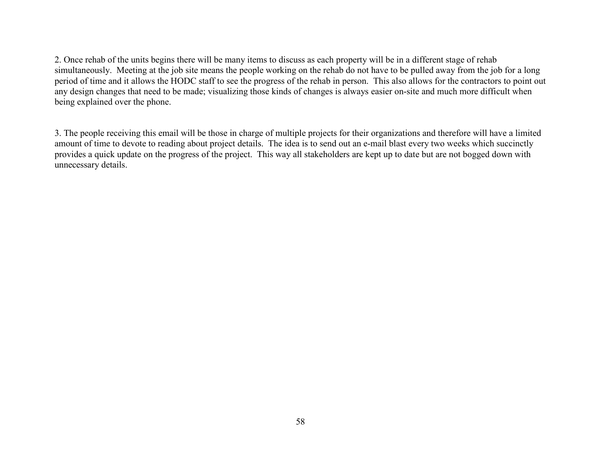2. Once rehab of the units begins there will be many items to discuss as each property will be in a different stage of rehab simultaneously. Meeting at the job site means the people working on the rehab do not have to be pulled away from the job for a long period of time and it allows the HODC staff to see the progress of the rehab in person. This also allows for the contractors to point out any design changes that need to be made; visualizing those kinds of changes is always easier on-site and much more difficult when being explained over the phone.

3. The people receiving this email will be those in charge of multiple projects for their organizations and therefore will have a limited amount of time to devote to reading about project details. The idea is to send out an e-mail blast every two weeks which succinctly provides a quick update on the progress of the project. This way all stakeholders are kept up to date but are not bogged down with unnecessary details.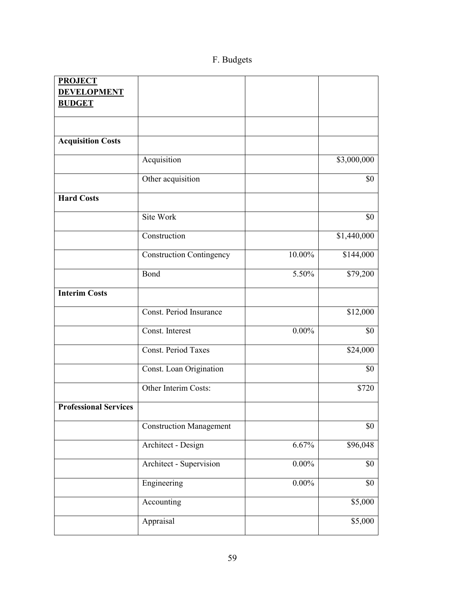# F. Budgets

| <b>PROJECT</b>               |                                 |          |                 |
|------------------------------|---------------------------------|----------|-----------------|
| <b>DEVELOPMENT</b>           |                                 |          |                 |
| <b>BUDGET</b>                |                                 |          |                 |
|                              |                                 |          |                 |
|                              |                                 |          |                 |
| <b>Acquisition Costs</b>     |                                 |          |                 |
|                              | Acquisition                     |          | \$3,000,000     |
|                              | Other acquisition               |          | \$0             |
| <b>Hard Costs</b>            |                                 |          |                 |
|                              | Site Work                       |          | \$0             |
|                              | Construction                    |          | \$1,440,000     |
|                              | <b>Construction Contingency</b> | 10.00%   | \$144,000       |
|                              | Bond                            | 5.50%    | \$79,200        |
| <b>Interim Costs</b>         |                                 |          |                 |
|                              | Const. Period Insurance         |          | \$12,000        |
|                              | Const. Interest                 | $0.00\%$ | \$0             |
|                              | <b>Const. Period Taxes</b>      |          | \$24,000        |
|                              | Const. Loan Origination         |          | \$0             |
|                              | Other Interim Costs:            |          | \$720           |
| <b>Professional Services</b> |                                 |          |                 |
|                              | <b>Construction Management</b>  |          | \$0             |
|                              | Architect - Design              | 6.67%    | \$96,048        |
|                              | Architect - Supervision         | $0.00\%$ | \$0             |
|                              | Engineering                     | $0.00\%$ | \$0             |
|                              | Accounting                      |          | \$5,000         |
|                              | Appraisal                       |          | $\sqrt{$5,000}$ |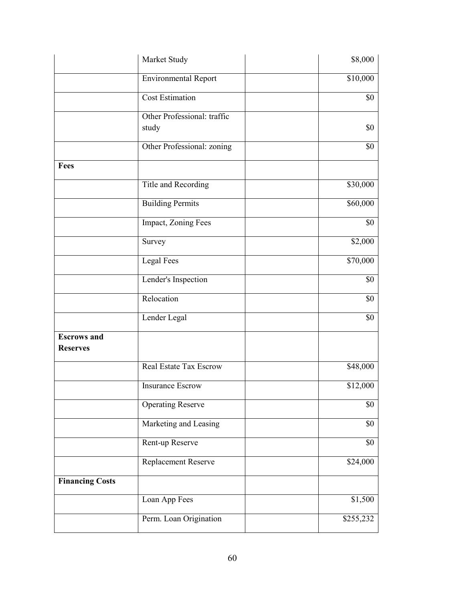|                                       | Market Study                  | \$8,000   |
|---------------------------------------|-------------------------------|-----------|
|                                       | <b>Environmental Report</b>   | \$10,000  |
|                                       | <b>Cost Estimation</b>        | \$0       |
|                                       | Other Professional: traffic   |           |
|                                       | study                         | \$0       |
|                                       | Other Professional: zoning    | \$0       |
| Fees                                  |                               |           |
|                                       | Title and Recording           | \$30,000  |
|                                       | <b>Building Permits</b>       | \$60,000  |
|                                       | Impact, Zoning Fees           | \$0       |
|                                       | Survey                        | \$2,000   |
|                                       | Legal Fees                    | \$70,000  |
|                                       | Lender's Inspection           | \$0       |
|                                       | Relocation                    | \$0       |
|                                       | Lender Legal                  | \$0       |
| <b>Escrows</b> and<br><b>Reserves</b> |                               |           |
|                                       | <b>Real Estate Tax Escrow</b> | \$48,000  |
|                                       | <b>Insurance Escrow</b>       | \$12,000  |
|                                       | <b>Operating Reserve</b>      | \$0       |
|                                       | Marketing and Leasing         | \$0       |
|                                       | Rent-up Reserve               | \$0       |
|                                       | Replacement Reserve           | \$24,000  |
| <b>Financing Costs</b>                |                               |           |
|                                       | Loan App Fees                 | \$1,500   |
|                                       | Perm. Loan Origination        | \$255,232 |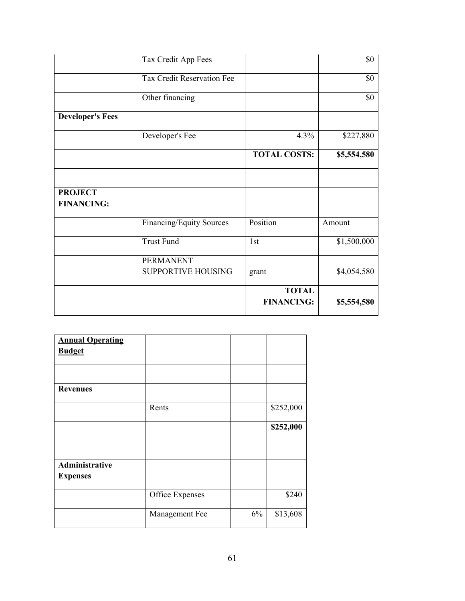|                                     | Tax Credit App Fees                           |                                   | \$0         |
|-------------------------------------|-----------------------------------------------|-----------------------------------|-------------|
|                                     | Tax Credit Reservation Fee                    |                                   | \$0         |
|                                     | Other financing                               |                                   | \$0         |
| <b>Developer's Fees</b>             |                                               |                                   |             |
|                                     | Developer's Fee                               | 4.3%                              | \$227,880   |
|                                     |                                               | <b>TOTAL COSTS:</b>               | \$5,554,580 |
|                                     |                                               |                                   |             |
| <b>PROJECT</b><br><b>FINANCING:</b> |                                               |                                   |             |
|                                     | Financing/Equity Sources                      | Position                          | Amount      |
|                                     | <b>Trust Fund</b>                             | 1st                               | \$1,500,000 |
|                                     | <b>PERMANENT</b><br><b>SUPPORTIVE HOUSING</b> | grant                             | \$4,054,580 |
|                                     |                                               | <b>TOTAL</b><br><b>FINANCING:</b> | \$5,554,580 |

| <b>Annual Operating</b> |                 |    |           |
|-------------------------|-----------------|----|-----------|
| <b>Budget</b>           |                 |    |           |
|                         |                 |    |           |
|                         |                 |    |           |
| <b>Revenues</b>         |                 |    |           |
|                         | Rents           |    | \$252,000 |
|                         |                 |    | \$252,000 |
|                         |                 |    |           |
| Administrative          |                 |    |           |
| <b>Expenses</b>         |                 |    |           |
|                         | Office Expenses |    | \$240     |
|                         | Management Fee  | 6% | \$13,608  |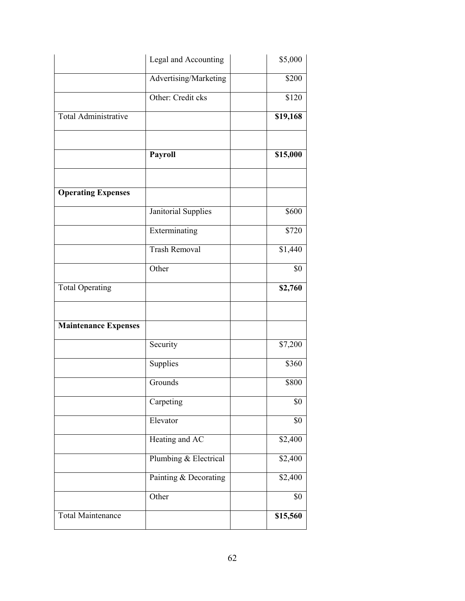|                             | Legal and Accounting  | \$5,000           |
|-----------------------------|-----------------------|-------------------|
|                             | Advertising/Marketing | \$200             |
|                             | Other: Credit cks     | $\overline{$}120$ |
| <b>Total Administrative</b> |                       | \$19,168          |
|                             | Payroll               | \$15,000          |
|                             |                       |                   |
| <b>Operating Expenses</b>   |                       |                   |
|                             | Janitorial Supplies   | \$600             |
|                             | Exterminating         | \$720             |
|                             | <b>Trash Removal</b>  | \$1,440           |
|                             | Other                 | \$0               |
| <b>Total Operating</b>      |                       | \$2,760           |
| <b>Maintenance Expenses</b> |                       |                   |
|                             |                       |                   |
|                             | Security              | \$7,200           |
|                             | Supplies              | \$360             |
|                             | Grounds               | \$800             |
|                             | Carpeting             | \$0               |
|                             | Elevator              | \$0               |
|                             | Heating and AC        | $\sqrt{$2,400}$   |
|                             | Plumbing & Electrical | \$2,400           |
|                             | Painting & Decorating | \$2,400           |
|                             | Other                 | \$0               |
| <b>Total Maintenance</b>    |                       | \$15,560          |